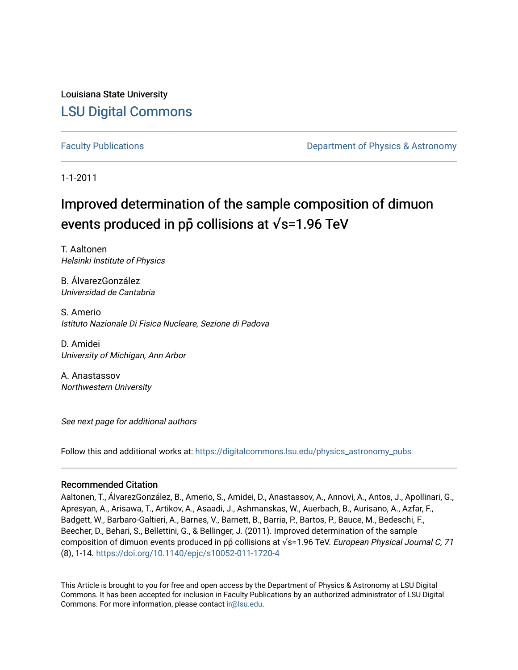Louisiana State University [LSU Digital Commons](https://digitalcommons.lsu.edu/)

[Faculty Publications](https://digitalcommons.lsu.edu/physics_astronomy_pubs) **Example 2** Constant Department of Physics & Astronomy

1-1-2011

# Improved determination of the sample composition of dimuon events produced in pp collisions at √s=1.96 TeV

T. Aaltonen Helsinki Institute of Physics

B. ÁlvarezGonzález Universidad de Cantabria

S. Amerio Istituto Nazionale Di Fisica Nucleare, Sezione di Padova

D. Amidei University of Michigan, Ann Arbor

A. Anastassov Northwestern University

See next page for additional authors

Follow this and additional works at: [https://digitalcommons.lsu.edu/physics\\_astronomy\\_pubs](https://digitalcommons.lsu.edu/physics_astronomy_pubs?utm_source=digitalcommons.lsu.edu%2Fphysics_astronomy_pubs%2F2377&utm_medium=PDF&utm_campaign=PDFCoverPages) 

# Recommended Citation

Aaltonen, T., ÁlvarezGonzález, B., Amerio, S., Amidei, D., Anastassov, A., Annovi, A., Antos, J., Apollinari, G., Apresyan, A., Arisawa, T., Artikov, A., Asaadi, J., Ashmanskas, W., Auerbach, B., Aurisano, A., Azfar, F., Badgett, W., Barbaro-Galtieri, A., Barnes, V., Barnett, B., Barria, P., Bartos, P., Bauce, M., Bedeschi, F., Beecher, D., Behari, S., Bellettini, G., & Bellinger, J. (2011). Improved determination of the sample composition of dimuon events produced in pp collisions at  $\sqrt{s}$ =1.96 TeV. European Physical Journal C, 71 (8), 1-14. <https://doi.org/10.1140/epjc/s10052-011-1720-4>

This Article is brought to you for free and open access by the Department of Physics & Astronomy at LSU Digital Commons. It has been accepted for inclusion in Faculty Publications by an authorized administrator of LSU Digital Commons. For more information, please contact [ir@lsu.edu](mailto:ir@lsu.edu).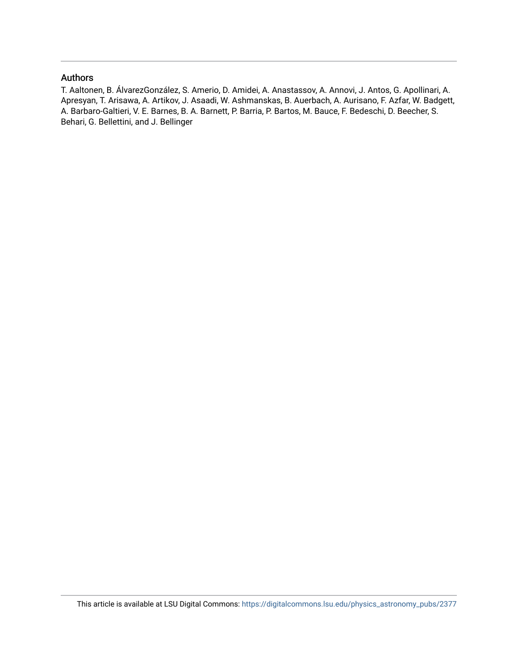# Authors

T. Aaltonen, B. ÁlvarezGonzález, S. Amerio, D. Amidei, A. Anastassov, A. Annovi, J. Antos, G. Apollinari, A. Apresyan, T. Arisawa, A. Artikov, J. Asaadi, W. Ashmanskas, B. Auerbach, A. Aurisano, F. Azfar, W. Badgett, A. Barbaro-Galtieri, V. E. Barnes, B. A. Barnett, P. Barria, P. Bartos, M. Bauce, F. Bedeschi, D. Beecher, S. Behari, G. Bellettini, and J. Bellinger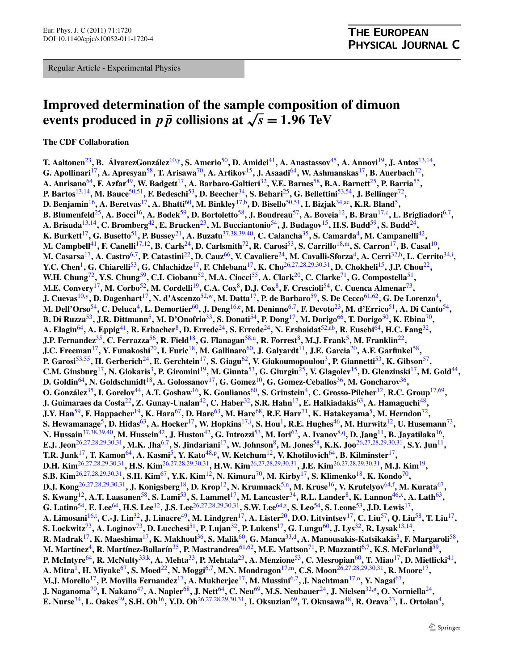Regular Article - Experimental Physics

# **Improved determination of the sample composition of dimuon events produced in**  $p\bar{p}$  **collisions at**  $\sqrt{s} = 1.96 \text{ TeV}$

**The CDF Collaboration**

**T. Aaltonen**[23](#page-3-0)**, B. ÁlvarezGonzález**[10](#page-3-1)[,y](#page-4-0)**, S. Amerio**[50](#page-4-1)**, D. Amidei**[41](#page-4-2)**, A. Anastassov**[45](#page-4-3)**, A. Annovi**[19](#page-3-2)**, J. Antos**[13](#page-3-3)[,14](#page-3-4)**, G. Apollinari**[17](#page-3-5)**, A. Apresyan**[58](#page-4-4)**, T. Arisawa**[70](#page-4-5)**, A. Artikov**[15](#page-3-6)**, J. Asaadi**[64](#page-4-6)**, W. Ashmanskas**[17](#page-3-5)**, B. Auerbach**[72](#page-4-7)**, A. Aurisano**[64](#page-4-6)**, F. Azfar**[49](#page-4-8)**, W. Badgett**[17](#page-3-5)**, A. Barbaro-Galtieri**[32](#page-3-7)**, V.E. Barnes**[58](#page-4-4)**, B.A. Barnett**[25](#page-3-8)**, P. Barria**[55](#page-4-9)**, P. Bartos**[13](#page-3-3)[,14](#page-3-4)**, M. Bauce**[50,](#page-4-1)[51](#page-4-10)**, F. Bedeschi**[53](#page-4-11)**, D. Beecher**[34](#page-3-9)**, S. Behari**[25](#page-3-8)**, G. Bellettini**[53,](#page-4-11)[54](#page-4-12)**, J. Bellinger**[72](#page-4-7)**, D. Benjamin**[16](#page-3-10)**, A. Beretvas**[17](#page-3-5)**, A. Bhatti**[60](#page-4-13)**, M. Binkley**[17,](#page-3-5)[b](#page-4-14)**, D. Bisello**[50,](#page-4-1)[51](#page-4-10)**, I. Bizjak**[34,](#page-3-9)[ac](#page-4-15)**, K.R. Bland**[5](#page-3-11)**, B. Blumenfeld**[25](#page-3-8)**, A. Bocci**[16](#page-3-10)**, A. Bodek**[59](#page-4-16)**, D. Bortoletto**[58](#page-4-4)**, J. Boudreau**[57](#page-4-17)**, A. Boveia**[12](#page-3-12)**, B. Brau**[17](#page-3-5),[c](#page-4-18)**, L. Brigliadori**[6](#page-3-13)[,7](#page-3-14)**, A. Brisuda**[13](#page-3-3)[,14](#page-3-4)**, C. Bromberg**[42](#page-4-19)**, E. Brucken**[23](#page-3-0)**, M. Bucciantonio**[54](#page-4-12)**, J. Budagov**[15](#page-3-6)**, H.S. Budd**[59](#page-4-16)**, S. Budd**[24](#page-3-15)**, K. Burkett<sup>[17](#page-3-5)</sup>, G. Busetto**<sup>[51](#page-4-10)</sup>, P. Bussey<sup>[21](#page-3-16)</sup>, A. Buzatu<sup>[37](#page-3-17)[,38](#page-3-18)[,39](#page-3-19),[40](#page-4-20)</sup>, C. Calancha<sup>[35](#page-3-20)</sup>, S. Camarda<sup>[4](#page-3-21)</sup>, M. Campanelli<sup>[42](#page-4-19)</sup>, **M. Campbell**[41](#page-4-2)**, F. Canelli**[17,](#page-3-5)[12](#page-3-12)**, B. Carls**[24](#page-3-15)**, D. Carlsmith**[72](#page-4-7)**, R. Carosi**[53](#page-4-11)**, S. Carrillo**[18,](#page-3-22)[m](#page-4-21)**, S. Carron**[17](#page-3-5)**, B. Casal**[10](#page-3-1)**, M. Casarsa**[17](#page-3-5)**, A. Castro**[6](#page-3-13)[,7](#page-3-14)**, P. Catastini**[22](#page-3-23)**, D. Cauz**[66](#page-4-22)**, V. Cavaliere**[24](#page-3-15)**, M. Cavalli-Sforza**[4](#page-3-21)**, A. Cerri**[32,](#page-3-7)[h](#page-4-23)**, L. Cerrito**[34,](#page-3-9)[i](#page-4-24) **, Y.C. Chen**[1](#page-3-24)**, G. Chiarelli**[53](#page-4-11)**, G. Chlachidze**[17](#page-3-5)**, F. Chlebana**[17](#page-3-5)**, K. Cho**[26](#page-3-25)[,27,](#page-3-26)[28](#page-3-27)[,29,](#page-3-28)[30](#page-3-29)[,31](#page-3-30)**, D. Chokheli**[15](#page-3-6)**, J.P. Chou**[22](#page-3-23)**, W.H. Chung**[72](#page-4-7)**, Y.S. Chung**[59](#page-4-16)**, C.I. Ciobanu**[52](#page-4-25)**, M.A. Ciocci**[55](#page-4-9)**, A. Clark**[20](#page-3-31)**, C. Clarke**[71](#page-4-26)**, G. Compostella**[51](#page-4-10)**, M.E. Convery**[17](#page-3-5)**, M. Corbo**[52](#page-4-25)**, M. Cordelli**[19](#page-3-2)**, C.A. Cox**[8](#page-3-32)**, D.J. Cox**[8](#page-3-32)**, F. Crescioli**[54](#page-4-12)**, C. Cuenca Almenar**[73](#page-4-27)**, J. Cuevas**[10,](#page-3-1)[y](#page-4-0)**, D. Dagenhart**[17](#page-3-5)**, N. d'Ascenzo**[52,](#page-4-25)[w](#page-4-28)**, M. Datta**[17](#page-3-5)**, P. de Barbaro**[59](#page-4-16)**, S. De Cecco**[61,](#page-4-29)[62](#page-4-30)**, G. De Lorenzo**[4](#page-3-21)**, M. Dell'Orso**[54](#page-4-12)**, C. Deluca**[4](#page-3-21)**, L. Demortier**[60](#page-4-13)**, J. Deng**[16,](#page-3-10)[e](#page-4-31)**, M. Deninno**[6,](#page-3-13)[7](#page-3-14)**, F. Devoto**[23](#page-3-0)**, M. d'Errico**[51](#page-4-10)**, A. Di Canto**[54](#page-4-12)**, B. Di Ruzza**[53](#page-4-11)**, J.R. Dittmann**[5](#page-3-11)**, M. D'Onofrio**[33](#page-3-33)**, S. Donati**[54](#page-4-12)**, P. Dong**[17](#page-3-5)**, M. Dorigo**[66](#page-4-22)**, T. Dorigo**[50](#page-4-1)**, K. Ebina**[70](#page-4-5)**, A. Elagin**[64](#page-4-6)**, A. Eppig**[41](#page-4-2)**, R. Erbacher**[8](#page-3-32)**, D. Errede**[24](#page-3-15)**, S. Errede**[24](#page-3-15)**, N. Ershaidat**[52](#page-4-25),[ab](#page-4-32)**, R. Eusebi**[64](#page-4-6)**, H.C. Fang**[32](#page-3-7)**, J.P. Fernandez**[35](#page-3-20)**, C. Ferrazza**[56](#page-4-33)**, R. Field**[18](#page-3-22)**, G. Flanagan**[58](#page-4-4)[,u](#page-4-34)**, R. Forrest**[8](#page-3-32)**, M.J. Frank**[5](#page-3-11)**, M. Franklin**[22](#page-3-23)**, J.C. Freeman**[17](#page-3-5)**, Y. Funakoshi**[70](#page-4-5)**, I. Furic**[18](#page-3-22)**, M. Gallinaro**[60](#page-4-13)**, J. Galyardt**[11](#page-3-34)**, J.E. Garcia**[20](#page-3-31)**, A.F. Garfinkel**[58](#page-4-4)**, P. Garosi**[53,](#page-4-11)[55](#page-4-9)**, H. Gerberich**[24](#page-3-15)**, E. Gerchtein**[17](#page-3-5)**, S. Giagu**[62](#page-4-30)**, V. Giakoumopoulou**[3](#page-3-35)**, P. Giannetti**[53](#page-4-11)**, K. Gibson**[57](#page-4-17)**, C.M. Ginsburg**[17](#page-3-5)**, N. Giokaris**[3](#page-3-35)**, P. Giromini**[19](#page-3-2)**, M. Giunta**[53](#page-4-11)**, G. Giurgiu**[25](#page-3-8)**, V. Glagolev**[15](#page-3-6)**, D. Glenzinski**[17](#page-3-5)**, M. Gold**[44](#page-4-35)**, D. Goldin**[64](#page-4-6)**, N. Goldschmidt**[18](#page-3-22)**, A. Golossanov**[17](#page-3-5)**, G. Gomez**[10](#page-3-1)**, G. Gomez-Ceballos**[36](#page-3-36)**, M. Goncharov**[36](#page-3-36)**, O. González**[35](#page-3-20)**, I. Gorelov**[44](#page-4-35)**, A.T. Goshaw**[16](#page-3-10)**, K. Goulianos**[60](#page-4-13)**, S. Grinstein**[4](#page-3-21)**, C. Grosso-Pilcher**[12](#page-3-12)**, R.C. Group**[17,](#page-3-5)[69](#page-4-36)**, J. Guimaraes da Costa**[22](#page-3-23)**, Z. Gunay-Unalan**[42](#page-4-19)**, C. Haber**[32](#page-3-7)**, S.R. Hahn**[17](#page-3-5)**, E. Halkiadakis**[63](#page-4-37)**, A. Hamaguchi**[48](#page-4-38)**, J.Y. Han**[59](#page-4-16)**, F. Happacher**[19](#page-3-2)**, K. Hara**[67](#page-4-39)**, D. Hare**[63](#page-4-37)**, M. Hare**[68](#page-4-40)**, R.F. Harr**[71](#page-4-26)**, K. Hatakeyama**[5](#page-3-11)**, M. Herndon**[72](#page-4-7)**, S. Hewamanage**[5](#page-3-11)**, D. Hidas**[63](#page-4-37)**, A. Hocker**[17](#page-3-5)**, W. Hopkins**[17](#page-3-5)[,i](#page-4-24) **, S. Hou**[1](#page-3-24)**, R.E. Hughes**[46](#page-4-41)**, M. Hurwitz**[12](#page-3-12)**, U. Husemann**[73](#page-4-27)**, N. Hussain**[37,](#page-3-17)[38](#page-3-18)[,39,](#page-3-19)[40](#page-4-20)**, M. Hussein**[42](#page-4-19)**, J. Huston**[42](#page-4-19)**, G. Introzzi**[53](#page-4-11)**, M. Iori**[62](#page-4-30)**, A. Ivanov**[8,](#page-3-32)[q](#page-4-42)**, D. Jang**[11](#page-3-34)**, B. Jayatilaka**[16](#page-3-10)**, E.J. Jeon**[26](#page-3-25),[27,](#page-3-26)[28](#page-3-27),[29](#page-3-28)[,30,](#page-3-29)[31](#page-3-30)**, M.K. Jha**[6,](#page-3-13)[7](#page-3-14)**, S. Jindariani**[17](#page-3-5)**, W. Johnson**[8](#page-3-32)**, M. Jones**[58](#page-4-4)**, K.K. Joo**[26,](#page-3-25)[27](#page-3-26)[,28,](#page-3-27)[29](#page-3-28)[,30,](#page-3-29)[31](#page-3-30)**, S.Y. Jun**[11](#page-3-34)**, T.R. Junk**[17](#page-3-5)**, T. Kamon**[64](#page-4-6)**, A. Kasmi**[5](#page-3-11)**, Y. Kato**[48](#page-4-38),[p](#page-4-43)**, W. Ketchum**[12](#page-3-12)**, V. Khotilovich**[64](#page-4-6)**, B. Kilminster**[17](#page-3-5)**, D.H. Kim**[26](#page-3-25)[,27,](#page-3-26)[28](#page-3-27)[,29,](#page-3-28)[30](#page-3-29)[,31](#page-3-30)**, H.S. Kim**[26](#page-3-25)[,27,](#page-3-26)[28](#page-3-27)[,29,](#page-3-28)[30](#page-3-29)[,31](#page-3-30)**, H.W. Kim**[26,](#page-3-25)[27](#page-3-26)[,28,](#page-3-27)[29](#page-3-28)[,30,](#page-3-29)[31](#page-3-30)**, J.E. Kim**[26,](#page-3-25)[27](#page-3-26)[,28,](#page-3-27)[29](#page-3-28)[,30,](#page-3-29)[31](#page-3-30)**, M.J. Kim**[19](#page-3-2)**, S.B. Kim**[26,](#page-3-25)[27](#page-3-26)[,28,](#page-3-27)[29](#page-3-28)[,30,](#page-3-29)[31](#page-3-30)**, S.H. Kim**[67](#page-4-39)**, Y.K. Kim**[12](#page-3-12)**, N. Kimura**[70](#page-4-5)**, M. Kirby**[17](#page-3-5)**, S. Klimenko**[18](#page-3-22)**, K. Kondo**[70](#page-4-5)**, D.J. Kong**[26,](#page-3-25)[27](#page-3-26)[,28](#page-3-27)[,29](#page-3-28),[30](#page-3-29)[,31](#page-3-30)**, J. Konigsberg**[18](#page-3-22)**, D. Krop**[12](#page-3-12)**, N. Krumnack**[5](#page-3-11)[,n](#page-4-44)**, M. Kruse**[16](#page-3-10)**, V. Krutelyov**[64,](#page-4-6)[f](#page-4-45) **, M. Kurata**[67](#page-4-39)**, S. Kwang**[12](#page-3-12)**, A.T. Laasanen**[58](#page-4-4)**, S. Lami**[53](#page-4-11)**, S. Lammel**[17](#page-3-5)**, M. Lancaster**[34](#page-3-9)**, R.L. Lander**[8](#page-3-32)**, K. Lannon**[46](#page-4-41)[,x](#page-4-46)**, A. Lath**[63](#page-4-37)**, G. Latino**[54](#page-4-12)**, E. Lee**[64](#page-4-6)**, H.S. Lee**[12](#page-3-12)**, J.S. Lee**[26](#page-3-25)[,27,](#page-3-26)[28](#page-3-27),[29](#page-3-28)[,30](#page-3-29),[31](#page-3-30)**, S.W. Lee**[64](#page-4-6),[z](#page-4-47)**, S. Leo**[54](#page-4-12)**, S. Leone**[53](#page-4-11)**, J.D. Lewis**[17](#page-3-5)**, A. Limosani**[16](#page-3-10)[,t](#page-4-48) **, C.-J. Lin**[32](#page-3-7)**, J. Linacre**[49](#page-4-8)**, M. Lindgren**[17](#page-3-5)**, A. Lister**[20](#page-3-31)**, D.O. Litvintsev**[17](#page-3-5)**, C. Liu**[57](#page-4-17)**, Q. Liu**[58](#page-4-4)**, T. Liu**[17](#page-3-5)**, S. Lockwitz**[73](#page-4-27)**, A. Loginov**[73](#page-4-27)**, D. Lucchesi**[51](#page-4-10)**, P. Lujan**[32](#page-3-7)**, P. Lukens**[17](#page-3-5)**, G. Lungu**[60](#page-4-13)**, J. Lys**[32](#page-3-7)**, R. Lysak**[13,](#page-3-3)[14](#page-3-4)**, R. Madrak**[17](#page-3-5)**, K. Maeshima**[17](#page-3-5)**, K. Makhoul**[36](#page-3-36)**, S. Malik**[60](#page-4-13)**, G. Manca**[33](#page-3-33)[,d](#page-4-49)**, A. Manousakis-Katsikakis**[3](#page-3-35)**, F. Margaroli**[58](#page-4-4)**, M. Martínez**[4](#page-3-21)**, R. Martínez-Ballarín**[35](#page-3-20)**, P. Mastrandrea**[61,](#page-4-29)[62](#page-4-30)**, M.E. Mattson**[71](#page-4-26)**, P. Mazzanti**[6](#page-3-13)[,7](#page-3-14)**, K.S. McFarland**[59](#page-4-16)**, P. McIntyre**[64](#page-4-6)**, R. McNulty**[33](#page-3-33)[,k](#page-4-50)**, A. Mehta**[33](#page-3-33)**, P. Mehtala**[23](#page-3-0)**, A. Menzione**[53](#page-4-11)**, C. Mesropian**[60](#page-4-13)**, T. Miao**[17](#page-3-5)**, D. Mietlicki**[41](#page-4-2)**, A. Mitra**[1](#page-3-24)**, H. Miyake**[67](#page-4-39)**, S. Moed**[22](#page-3-23)**, N. Moggi**[6,](#page-3-13)[7](#page-3-14)**, M.N. Mondragon**[17](#page-3-5)[,m](#page-4-21)**, C.S. Moon**[26](#page-3-25),[27,](#page-3-26)[28,](#page-3-27)[29](#page-3-28)[,30,](#page-3-29)[31](#page-3-30)**, R. Moore**[17](#page-3-5)**, M.J. Morello**[17](#page-3-5)**, P. Movilla Fernandez**[17](#page-3-5)**, A. Mukherjee**[17](#page-3-5)**, M. Mussini**[6](#page-3-13)[,7](#page-3-14)**, J. Nachtman**[17](#page-3-5)[,o](#page-4-51)**, Y. Nagai**[67](#page-4-39)**, J. Naganoma**[70](#page-4-5)**, I. Nakano**[47](#page-4-52)**, A. Napier**[68](#page-4-40)**, J. Nett**[64](#page-4-6)**, C. Neu**[69](#page-4-36)**, M.S. Neubauer**[24](#page-3-15)**, J. Nielsen**[32](#page-3-7)[,g](#page-4-53)**, O. Norniella**[24](#page-3-15)**, E. Nurse**[34](#page-3-9)**, L. Oakes**[49](#page-4-8)**, S.H. Oh**[16](#page-3-10)**, Y.D. Oh**[26,](#page-3-25)[27](#page-3-26)[,28,](#page-3-27)[29](#page-3-28)[,30,](#page-3-29)[31](#page-3-30)**, I. Oksuzian**[69](#page-4-36)**, T. Okusawa**[48](#page-4-38)**, R. Orava**[23](#page-3-0)**, L. Ortolan**[4](#page-3-21)**,**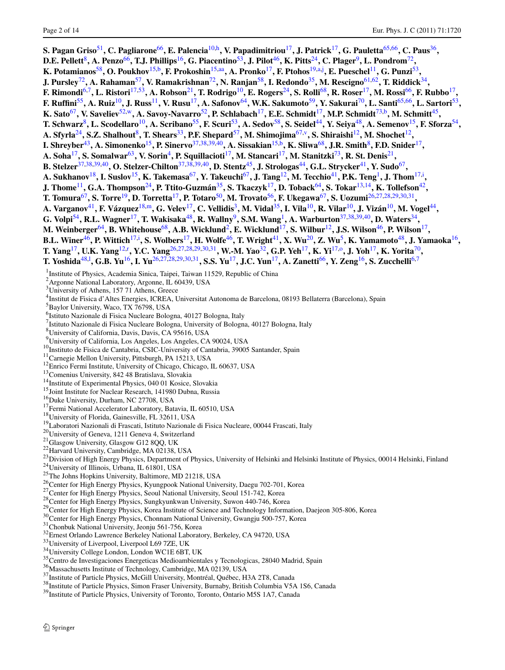<span id="page-3-38"></span><span id="page-3-37"></span><span id="page-3-36"></span><span id="page-3-35"></span><span id="page-3-34"></span><span id="page-3-33"></span><span id="page-3-32"></span><span id="page-3-31"></span><span id="page-3-30"></span><span id="page-3-29"></span><span id="page-3-28"></span><span id="page-3-27"></span><span id="page-3-26"></span><span id="page-3-25"></span><span id="page-3-24"></span><span id="page-3-23"></span><span id="page-3-22"></span><span id="page-3-21"></span><span id="page-3-20"></span><span id="page-3-19"></span><span id="page-3-18"></span><span id="page-3-17"></span><span id="page-3-16"></span><span id="page-3-15"></span><span id="page-3-14"></span><span id="page-3-13"></span><span id="page-3-12"></span><span id="page-3-11"></span><span id="page-3-10"></span><span id="page-3-9"></span><span id="page-3-8"></span><span id="page-3-7"></span><span id="page-3-6"></span><span id="page-3-5"></span><span id="page-3-4"></span><span id="page-3-3"></span><span id="page-3-2"></span><span id="page-3-1"></span><span id="page-3-0"></span>**S. Pagan Griso**[51](#page-4-10)**, C. Pagliarone**[66](#page-4-22)**, E. Palencia**[10](#page-3-1)[,h](#page-4-23)**, V. Papadimitriou**[17](#page-3-5)**, J. Patrick**[17](#page-3-5)**, G. Pauletta**[65,](#page-4-54)[66](#page-4-22)**, C. Paus**[36](#page-3-36)**, D.E. Pellett**[8](#page-3-32)**, A. Penzo**[66](#page-4-22)**, T.J. Phillips**[16](#page-3-10)**, G. Piacentino**[53](#page-4-11)**, J. Pilot**[46](#page-4-41)**, K. Pitts**[24](#page-3-15)**, C. Plager**[9](#page-3-37)**, L. Pondrom**[72](#page-4-7)**, K. Potamianos**[58](#page-4-4)**, O. Poukhov**[15,](#page-3-6)[b](#page-4-14)**, F. Prokoshin**[15,](#page-3-6)[aa](#page-4-55)**, A. Pronko**[17](#page-3-5)**, F. Ptohos**[19,](#page-3-2)[a](#page-4-56),[j](#page-4-57) **, E. Pueschel**[11](#page-3-34)**, G. Punzi**[53](#page-4-11)**, J. Pursley**[72](#page-4-7)**, A. Rahaman**[57](#page-4-17)**, V. Ramakrishnan**[72](#page-4-7)**, N. Ranjan**[58](#page-4-4)**, I. Redondo**[35](#page-3-20)**, M. Rescigno**[61,](#page-4-29)[62](#page-4-30)**, T. Riddick**[34](#page-3-9)**, F. Rimondi**[6,](#page-3-13)[7](#page-3-14)**, L. Ristori**[17](#page-3-5)[,53](#page-4-11)**, A. Robson**[21](#page-3-16)**, T. Rodrigo**[10](#page-3-1)**, E. Rogers**[24](#page-3-15)**, S. Rolli**[68](#page-4-40)**, R. Roser**[17](#page-3-5)**, M. Rossi**[66](#page-4-22)**, F. Rubbo**[17](#page-3-5)**, F. Ruffini**[55](#page-4-9)**, A. Ruiz**[10](#page-3-1)**, J. Russ**[11](#page-3-34)**, V. Rusu**[17](#page-3-5)**, A. Safonov**[64](#page-4-6)**, W.K. Sakumoto**[59](#page-4-16)**, Y. Sakurai**[70](#page-4-5)**, L. Santi**[65,](#page-4-54)[66](#page-4-22)**, L. Sartori**[53](#page-4-11)**, K. Sato**[67](#page-4-39)**, V. Saveliev**[52](#page-4-25),[w](#page-4-28)**, A. Savoy-Navarro**[52](#page-4-25)**, P. Schlabach**[17](#page-3-5)**, E.E. Schmidt**[17](#page-3-5)**, M.P. Schmidt**[73,](#page-4-27)[b](#page-4-14)**, M. Schmitt**[45](#page-4-3)**, T. Schwarz**[8](#page-3-32)**, L. Scodellaro**[10](#page-3-1)**, A. Scribano**[55](#page-4-9)**, F. Scuri**[53](#page-4-11)**, A. Sedov**[58](#page-4-4)**, S. Seidel**[44](#page-4-35)**, Y. Seiya**[48](#page-4-38)**, A. Semenov**[15](#page-3-6)**, F. Sforza**[54](#page-4-12)**, A. Sfyrla**[24](#page-3-15)**, S.Z. Shalhout**[8](#page-3-32)**, T. Shears**[33](#page-3-33)**, P.F. Shepard**[57](#page-4-17)**, M. Shimojima**[67,](#page-4-39)[v](#page-4-58)**, S. Shiraishi**[12](#page-3-12)**, M. Shochet**[12](#page-3-12)**, I. Shrey[b](#page-4-14)er**<sup>[43](#page-4-59)</sup>, A. Simonenko<sup>[15](#page-3-6)</sup>, P. Sinervo<sup>[37,](#page-3-17)[38](#page-3-18),[39](#page-3-19)[,40](#page-4-20)</sup>, A. Sissakian<sup>15,b</sup>, K. Sliwa<sup>[68](#page-4-40)</sup>, J.R. Smith<sup>[8](#page-3-32)</sup>, F.D. Snider<sup>[17](#page-3-5)</sup>, **A. Soha**[17](#page-3-5)**, S. Somalwar**[63](#page-4-37)**, V. Sorin**[4](#page-3-21)**, P. Squillacioti**[17](#page-3-5)**, M. Stancari**[17](#page-3-5)**, M. Stanitzki**[73](#page-4-27)**, R. St. Denis**[21](#page-3-16)**, B. Stelzer**[37](#page-3-17)[,38,](#page-3-18)[39](#page-3-19)[,40](#page-4-20)**, O. Stelzer-Chilton**[37,](#page-3-17)[38](#page-3-18)[,39,](#page-3-19)[40](#page-4-20)**, D. Stentz**[45](#page-4-3)**, J. Strologas**[44](#page-4-35)**, G.L. Strycker**[41](#page-4-2)**, Y. Sudo**[67](#page-4-39)**, A. Sukhanov**[18](#page-3-22)**, I. Suslov**[15](#page-3-6)**, K. Takemasa**[67](#page-4-39)**, Y. Takeuchi**[67](#page-4-39)**, J. Tang**[12](#page-3-12)**, M. Tecchio**[41](#page-4-2)**, P.K. Teng**[1](#page-3-24)**, J. Thom**[17](#page-3-5)[,i](#page-4-24) **, J. Thome**[11](#page-3-34)**, G.A. Thompson**[24](#page-3-15)**, P. Ttito-Guzmán**[35](#page-3-20)**, S. Tkaczyk**[17](#page-3-5)**, D. Toback**[64](#page-4-6)**, S. Tokar**[13](#page-3-3)[,14](#page-3-4)**, K. Tollefson**[42](#page-4-19)**, T. Tomura**[67](#page-4-39)**, S. Torre**[19](#page-3-2)**, D. Torretta**[17](#page-3-5)**, P. Totaro**[50](#page-4-1)**, M. Trovato**[56](#page-4-33)**, F. Ukegawa**[67](#page-4-39)**, S. Uozumi**[26,](#page-3-25)[27](#page-3-26)[,28,](#page-3-27)[29](#page-3-28)[,30,](#page-3-29)[31](#page-3-30)**, A. Varganov**[41](#page-4-2)**, F. Vázquez**[18](#page-3-22),[m](#page-4-21)**, G. Velev**[17](#page-3-5)**, C. Vellidis**[3](#page-3-35)**, M. Vidal**[35](#page-3-20)**, I. Vila**[10](#page-3-1)**, R. Vilar**[10](#page-3-1)**, J. Vizán**[10](#page-3-1)**, M. Vogel**[44](#page-4-35)**, G. Volpi**[54](#page-4-12)**, R.L. Wagner**[17](#page-3-5)**, T. Wakisaka**[48](#page-4-38)**, R. Wallny**[9](#page-3-37)**, S.M. Wang**[1](#page-3-24)**, A. Warburton**[37,](#page-3-17)[38](#page-3-18),[39](#page-3-19)[,40](#page-4-20)**, D. Waters**[34](#page-3-9)**, M. Weinberger**[64](#page-4-6)**, B. Whitehouse**[68](#page-4-40)**, A.B. Wicklund**[2](#page-3-38)**, E. Wicklund**[17](#page-3-5)**, S. Wilbur**[12](#page-3-12)**, J.S. Wilson**[46](#page-4-41)**, P. Wilson**[17](#page-3-5)**, B.L. Winer**[46](#page-4-41)**, P. Wittich**[17](#page-3-5),[i](#page-4-24) **, S. Wolbers**[17](#page-3-5)**, H. Wolfe**[46](#page-4-41)**, T. Wright**[41](#page-4-2)**, X. Wu**[20](#page-3-31)**, Z. Wu**[5](#page-3-11)**, K. Yamamoto**[48](#page-4-38)**, J. Yamaoka**[16](#page-3-10)**, T. Yang**[17](#page-3-5)**, U.K. Yang**[12,](#page-3-12)[r](#page-4-60) **, Y.C. Yang**[26](#page-3-25),[27](#page-3-26)[,28,](#page-3-27)[29](#page-3-28)[,30,](#page-3-29)[31](#page-3-30)**, W.-M. Yao**[32](#page-3-7)**, G.P. Yeh**[17](#page-3-5)**, K. Yi**[17,](#page-3-5)[o](#page-4-51)**, J. Yoh**[17](#page-3-5)**, K. Yorita**[70](#page-4-5)**, T. Yoshida**[48,](#page-4-38)[l](#page-4-61) **, G.B. Yu**[16](#page-3-10)**, I. Yu**[26](#page-3-25)[,27,](#page-3-26)[28](#page-3-27)[,29,](#page-3-28)[30](#page-3-29)[,31](#page-3-30)**, S.S. Yu**[17](#page-3-5)**, J.C. Yun**[17](#page-3-5)**, A. Zanetti**[66](#page-4-22)**, Y. Zeng**[16](#page-3-10)**, S. Zucchelli**[6](#page-3-13)[,7](#page-3-14) <sup>1</sup> Institute of Physics, Academia Sinica, Taipei, Taiwan 11529, Republic of China 2 Argonne National Laboratory, Argonne, IL 60439, USA <sup>3</sup>University of Athens, 157 71 Athens, Greece 4 Institut de Fisica d'Altes Energies, ICREA, Universitat Autonoma de Barcelona, 08193 Bellaterra (Barcelona), Spain 5 Baylor University, Waco, TX 76798, USA 6 Istituto Nazionale di Fisica Nucleare Bologna, 40127 Bologna, Italy <sup>7</sup> Istituto Nazionale di Fisica Nucleare Bologna, University of Bologna, 40127 Bologna, Italy 8 University of California, Davis, Davis, CA 95616, USA <sup>9</sup>University of California, Los Angeles, Los Angeles, CA 90024, USA <sup>2</sup>University of California Lass Angeles, Los Angeles, CA 90024, USA<br><sup>23</sup>University of Caminbria, S9005 Santander, Spain<br><sup>11</sup>Camegie Mellon University of Camineira, 20005 Santander, Spain<br><sup>11</sup>Camegie Mellon University Pitt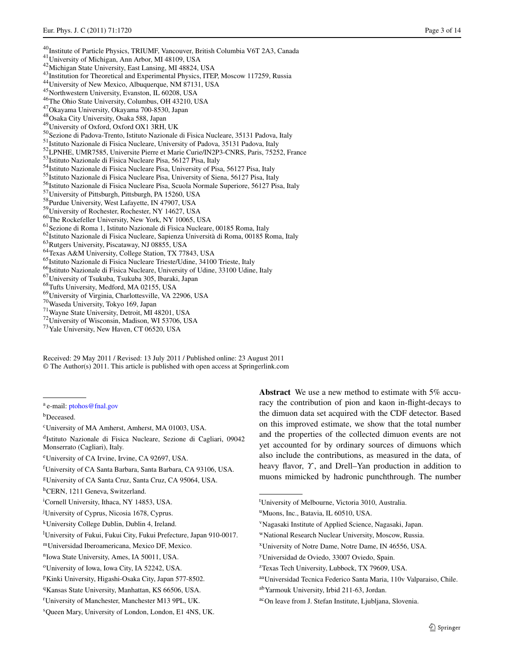- 
- 
- 
- <span id="page-4-25"></span><span id="page-4-11"></span>
- <span id="page-4-12"></span>
- <span id="page-4-9"></span>
- <span id="page-4-33"></span>
- <span id="page-4-17"></span>
- <span id="page-4-4"></span>
- <span id="page-4-16"></span>
- <span id="page-4-13"></span>
- <span id="page-4-29"></span>
- <span id="page-4-59"></span><span id="page-4-52"></span><span id="page-4-41"></span><span id="page-4-38"></span><span id="page-4-35"></span><span id="page-4-20"></span><span id="page-4-19"></span><span id="page-4-10"></span><span id="page-4-8"></span><span id="page-4-3"></span><span id="page-4-2"></span><span id="page-4-1"></span><sup>40</sup>Institute of Particle Physics, TRIUMF, Vancouver, British Columbia V6T 2A3, Canada<sup>41</sup>University of Michigan, Ann Arbor, MI 48109, USA<br><sup>42</sup>Michigan State University, East Lansing, MI 48824, USA<br><sup>42</sup>Michigan State Univ
- <span id="page-4-37"></span>
- 
- <span id="page-4-54"></span><span id="page-4-6"></span>
- <span id="page-4-30"></span><sup>53</sup>Istituto Nazionale di Fisica Nucleare Pisa, 56127 Pisa, Italy<br><sup>54</sup>Istituto Nazionale di Fisica Nucleare Pisa, University of Pisa, 56127 Pisa, Italy<br><sup>55</sup>Istituto Nazionale di Fisica Nucleare Pisa, University of Siena, 5
- <span id="page-4-39"></span><span id="page-4-22"></span>
- <span id="page-4-40"></span>
- <span id="page-4-36"></span>
- 
- <span id="page-4-26"></span><span id="page-4-5"></span>
- <span id="page-4-7"></span>
- <span id="page-4-27"></span>
- 
- 
- 
- 
- 
- 
- 
- 
- 
- <span id="page-4-56"></span><span id="page-4-14"></span>

<span id="page-4-49"></span><span id="page-4-31"></span><span id="page-4-18"></span>Received: 29 May 2011 / Revised: 13 July 2011 / Published online: 23 August 2011 © The Author(s) 2011. This article is published with open access at Springerlink.com

<span id="page-4-23"></span>bDeceased.

<span id="page-4-57"></span><span id="page-4-24"></span>cUniversity of MA Amherst, Amherst, MA 01003, USA.

<span id="page-4-50"></span>dIstituto Nazionale di Fisica Nucleare, Sezione di Cagliari, 09042 Monserrato (Cagliari), Italy.

<span id="page-4-21"></span>f University of CA Santa Barbara, Santa Barbara, CA 93106, USA.

<span id="page-4-43"></span>i Cornell University, Ithaca, NY 14853, USA.

<span id="page-4-48"></span><span id="page-4-34"></span>**Abstract** We use a new method to estimate with 5% accuracy the contribution of pion and kaon in-flight-decays to the dimuon data set acquired with the CDF detector. Based on this improved estimate, we show that the total number and the properties of the collected dimuon events are not yet accounted for by ordinary sources of dimuons which also include the contributions, as measured in the data, of heavy flavor, *Υ* , and Drell–Yan production in addition to muons mimicked by hadronic punchthrough. The number

xUniversity of Notre Dame, Notre Dame, IN 46556, USA.

<span id="page-4-53"></span><span id="page-4-45"></span><sup>a</sup> e-mail: [ptohos@fnal.gov](mailto:ptohos@fnal.gov)

<span id="page-4-61"></span>eUniversity of CA Irvine, Irvine, CA 92697, USA.

<span id="page-4-44"></span>gUniversity of CA Santa Cruz, Santa Cruz, CA 95064, USA.

<span id="page-4-51"></span>hCERN, 1211 Geneva, Switzerland.

j University of Cyprus, Nicosia 1678, Cyprus.

<span id="page-4-60"></span><span id="page-4-42"></span>kUniversity College Dublin, Dublin 4, Ireland.

l University of Fukui, Fukui City, Fukui Prefecture, Japan 910-0017.

mUniversidad Iberoamericana, Mexico DF, Mexico.

<sup>&</sup>lt;sup>n</sup>Iowa State University, Ames, IA 50011, USA.

<sup>&</sup>lt;sup>o</sup>University of Iowa, Iowa City, IA 52242, USA.

pKinki University, Higashi-Osaka City, Japan 577-8502.

<sup>&</sup>lt;sup>q</sup>Kansas State University, Manhattan, KS 66506, USA.

r University of Manchester, Manchester M13 9PL, UK.

s Queen Mary, University of London, London, E1 4NS, UK.

<span id="page-4-58"></span><span id="page-4-55"></span><span id="page-4-47"></span><span id="page-4-46"></span><span id="page-4-28"></span><span id="page-4-0"></span>t University of Melbourne, Victoria 3010, Australia.

<span id="page-4-32"></span><sup>&</sup>lt;sup>u</sup>Muons, Inc., Batavia, IL 60510, USA.

<span id="page-4-15"></span>vNagasaki Institute of Applied Science, Nagasaki, Japan.

wNational Research Nuclear University, Moscow, Russia.

yUniversidad de Oviedo, 33007 Oviedo, Spain.

<sup>&</sup>lt;sup>z</sup>Texas Tech University, Lubbock, TX 79609, USA.

aaUniversidad Tecnica Federico Santa Maria, 110v Valparaiso, Chile.

abYarmouk University, Irbid 211-63, Jordan.

acOn leave from J. Stefan Institute, Ljubljana, Slovenia.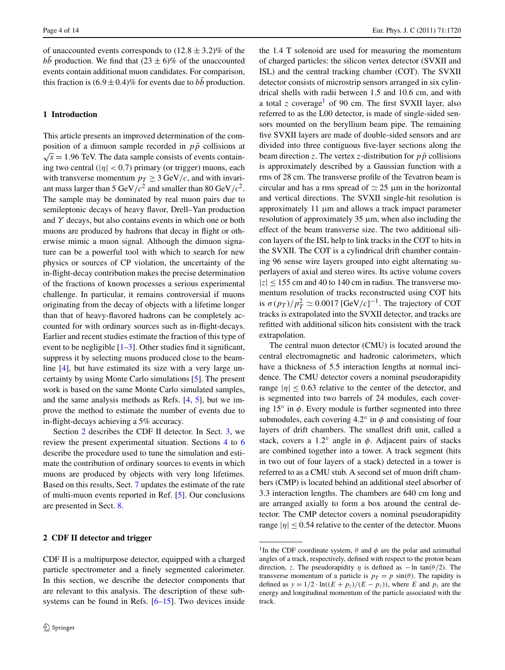of unaccounted events corresponds to  $(12.8 \pm 3.2)\%$  of the *bb* production. We find that  $(23 \pm 6)\%$  of the unaccounted events contain additional muon candidates. For comparison, this fraction is  $(6.9 \pm 0.4)$ % for events due to *bb* production.

#### **1 Introduction**

This article presents an improved determination of the composition of a dimuon sample recorded in  $p\bar{p}$  collisions at  $\sqrt{s}$  = 1.96 TeV. The data sample consists of events containing two central  $(|\eta| < 0.7)$  primary (or trigger) muons, each with transverse momentum  $p_T \geq 3$  GeV/c, and with invariant mass larger than 5 GeV/ $c^2$  and smaller than 80 GeV/ $c^2$ . The sample may be dominated by real muon pairs due to semileptonic decays of heavy flavor, Drell–Yan production and *Υ* decays, but also contains events in which one or both muons are produced by hadrons that decay in flight or otherwise mimic a muon signal. Although the dimuon signature can be a powerful tool with which to search for new physics or sources of CP violation, the uncertainty of the in-flight-decay contribution makes the precise determination of the fractions of known processes a serious experimental challenge. In particular, it remains controversial if muons originating from the decay of objects with a lifetime longer than that of heavy-flavored hadrons can be completely accounted for with ordinary sources such as in-flight-decays. Earlier and recent studies estimate the fraction of this type of event to be negligible  $[1-3]$  $[1-3]$ . Other studies find it significant, suppress it by selecting muons produced close to the beamline [[4\]](#page-15-2), but have estimated its size with a very large uncertainty by using Monte Carlo simulations [\[5](#page-15-3)]. The present work is based on the same Monte Carlo simulated samples, and the same analysis methods as Refs. [\[4](#page-15-2), [5](#page-15-3)], but we improve the method to estimate the number of events due to in-flight-decays achieving a 5% accuracy.

<span id="page-5-0"></span>Section [2](#page-5-0) describes the CDF II detector. In Sect. [3](#page-6-0), we review the present experimental situation. Sections [4](#page-7-0) to [6](#page-10-0) describe the procedure used to tune the simulation and estimate the contribution of ordinary sources to events in which muons are produced by objects with very long lifetimes. Based on this results, Sect. [7](#page-12-0) updates the estimate of the rate of multi-muon events reported in Ref. [[5\]](#page-15-3). Our conclusions are presented in Sect. [8.](#page-14-0)

#### **2 CDF II detector and trigger**

CDF II is a multipurpose detector, equipped with a charged particle spectrometer and a finely segmented calorimeter. In this section, we describe the detector components that are relevant to this analysis. The description of these subsystems can be found in Refs. [[6–](#page-15-4)[15\]](#page-15-5). Two devices inside

the 1.4 T solenoid are used for measuring the momentum of charged particles: the silicon vertex detector (SVXII and ISL) and the central tracking chamber (COT). The SVXII detector consists of microstrip sensors arranged in six cylindrical shells with radii between 1.5 and 10.6 cm, and with a total *z* coverage<sup>1</sup> of 90 cm. The first SVXII layer, also referred to as the L00 detector, is made of single-sided sensors mounted on the beryllium beam pipe. The remaining five SVXII layers are made of double-sided sensors and are divided into three contiguous five-layer sections along the beam direction *z*. The vertex *z*-distribution for  $p\bar{p}$  collisions is approximately described by a Gaussian function with a rms of 28 cm. The transverse profile of the Tevatron beam is circular and has a rms spread of  $\simeq 25$  µm in the horizontal and vertical directions. The SVXII single-hit resolution is approximately 11 μm and allows a track impact parameter resolution of approximately  $35 \mu m$ , when also including the effect of the beam transverse size. The two additional silicon layers of the ISL help to link tracks in the COT to hits in the SVXII. The COT is a cylindrical drift chamber containing 96 sense wire layers grouped into eight alternating superlayers of axial and stereo wires. Its active volume covers  $|z| \le 155$  cm and 40 to 140 cm in radius. The transverse momentum resolution of tracks reconstructed using COT hits is  $\sigma(p_T)/p_T^2 \simeq 0.0017 \,[\text{GeV}/c]^{-1}$ . The trajectory of COT tracks is extrapolated into the SVXII detector, and tracks are refitted with additional silicon hits consistent with the track extrapolation.

The central muon detector (CMU) is located around the central electromagnetic and hadronic calorimeters, which have a thickness of 5.5 interaction lengths at normal incidence. The CMU detector covers a nominal pseudorapidity range  $|\eta| \le 0.63$  relative to the center of the detector, and is segmented into two barrels of 24 modules, each covering  $15^\circ$  in  $\phi$ . Every module is further segmented into three submodules, each covering  $4.2^\circ$  in  $\phi$  and consisting of four layers of drift chambers. The smallest drift unit, called a stack, covers a  $1.2^\circ$  angle in  $\phi$ . Adjacent pairs of stacks are combined together into a tower. A track segment (hits in two out of four layers of a stack) detected in a tower is referred to as a CMU stub. A second set of muon drift chambers (CMP) is located behind an additional steel absorber of 3.3 interaction lengths. The chambers are 640 cm long and are arranged axially to form a box around the central detector. The CMP detector covers a nominal pseudorapidity range  $|\eta| \leq 0.54$  relative to the center of the detector. Muons

<span id="page-5-1"></span><sup>&</sup>lt;sup>1</sup>In the CDF coordinate system,  $\theta$  and  $\phi$  are the polar and azimuthal angles of a track, respectively, defined with respect to the proton beam direction, *z*. The pseudorapidity *η* is defined as  $-\ln \tan(\theta/2)$ . The transverse momentum of a particle is  $p_T = p \sin(\theta)$ . The rapidity is defined as  $y = 1/2 \cdot \ln((E + p_z)/(E - p_z))$ , where *E* and  $p_z$  are the energy and longitudinal momentum of the particle associated with the track.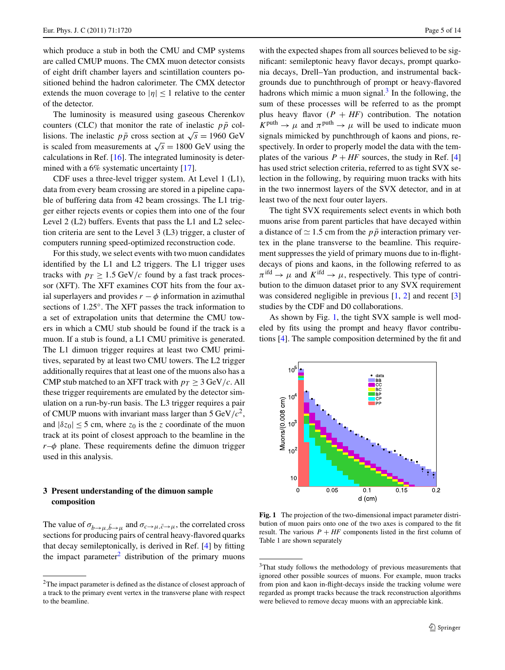which produce a stub in both the CMU and CMP systems are called CMUP muons. The CMX muon detector consists of eight drift chamber layers and scintillation counters positioned behind the hadron calorimeter. The CMX detector extends the muon coverage to  $|\eta|$  < 1 relative to the center of the detector.

The luminosity is measured using gaseous Cherenkov counters (CLC) that monitor the rate of inelastic  $p\bar{p}$  collisions. The inelastic  $p\bar{p}$  cross section at  $\sqrt{s} = 1960 \text{ GeV}$ is scaled from measurements at  $\sqrt{s} = 1800$  GeV using the calculations in Ref. [[16\]](#page-15-6). The integrated luminosity is deter-mined with a 6% systematic uncertainty [\[17](#page-15-7)].

CDF uses a three-level trigger system. At Level 1 (L1), data from every beam crossing are stored in a pipeline capable of buffering data from 42 beam crossings. The L1 trigger either rejects events or copies them into one of the four Level 2 (L2) buffers. Events that pass the L1 and L2 selection criteria are sent to the Level 3 (L3) trigger, a cluster of computers running speed-optimized reconstruction code.

For this study, we select events with two muon candidates identified by the L1 and L2 triggers. The L1 trigger uses tracks with  $p_T \geq 1.5$  GeV/c found by a fast track processor (XFT). The XFT examines COT hits from the four axial superlayers and provides  $r - \phi$  information in azimuthal sections of 1.25◦. The XFT passes the track information to a set of extrapolation units that determine the CMU towers in which a CMU stub should be found if the track is a muon. If a stub is found, a L1 CMU primitive is generated. The L1 dimuon trigger requires at least two CMU primitives, separated by at least two CMU towers. The L2 trigger additionally requires that at least one of the muons also has a CMP stub matched to an XFT track with  $p_T \geq 3$  GeV/c. All these trigger requirements are emulated by the detector simulation on a run-by-run basis. The L3 trigger requires a pair of CMUP muons with invariant mass larger than  $5 \text{ GeV}/c^2$ , and  $|\delta z_0| \leq 5$  cm, where  $z_0$  is the *z* coordinate of the muon track at its point of closest approach to the beamline in the *r*–*φ* plane. These requirements define the dimuon trigger used in this analysis.

# <span id="page-6-1"></span><span id="page-6-0"></span>**3 Present understanding of the dimuon sample composition**

The value of  $\sigma_{b\to\mu,\bar{b}\to\mu}$  and  $\sigma_{c\to\mu,\bar{c}\to\mu}$ , the correlated cross sections for producing pairs of central heavy-flavored quarks that decay semileptonically, is derived in Ref. [\[4](#page-15-2)] by fitting the impact parameter<sup>[2](#page-6-1)</sup> distribution of the primary muons

with the expected shapes from all sources believed to be significant: semileptonic heavy flavor decays, prompt quarkonia decays, Drell–Yan production, and instrumental backgrounds due to punchthrough of prompt or heavy-flavored hadrons which mimic a muon signal. $3$  In the following, the sum of these processes will be referred to as the prompt plus heavy flavor  $(P + HF)$  contribution. The notation  $K^{\text{puth}} \rightarrow \mu$  and  $\pi^{\text{puth}} \rightarrow \mu$  will be used to indicate muon signals mimicked by punchthrough of kaons and pions, respectively. In order to properly model the data with the templates of the various  $P + HF$  sources, the study in Ref. [[4\]](#page-15-2) has used strict selection criteria, referred to as tight SVX selection in the following, by requiring muon tracks with hits in the two innermost layers of the SVX detector, and in at least two of the next four outer layers.

The tight SVX requirements select events in which both muons arise from parent particles that have decayed within a distance of  $\simeq 1.5$  cm from the  $p\bar{p}$  interaction primary vertex in the plane transverse to the beamline. This requirement suppresses the yield of primary muons due to in-flightdecays of pions and kaons, in the following referred to as  $\pi$ <sup>ifd</sup>  $\rightarrow \mu$  and  $K$ <sup>ifd</sup>  $\rightarrow \mu$ , respectively. This type of contribution to the dimuon dataset prior to any SVX requirement was considered negligible in previous  $[1, 2]$  $[1, 2]$  $[1, 2]$  and recent  $[3]$  $[3]$ studies by the CDF and D0 collaborations.

As shown by Fig. [1](#page-6-3), the tight SVX sample is well modeled by fits using the prompt and heavy flavor contributions [\[4\]](#page-15-2). The sample composition determined by the fit and



<span id="page-6-3"></span><span id="page-6-2"></span>**Fig. 1** The projection of the two-dimensional impact parameter distribution of muon pairs onto one of the two axes is compared to the fit result. The various  $P + HF$  components listed in the first column of Table 1 are shown separately

<sup>&</sup>lt;sup>2</sup>The impact parameter is defined as the distance of closest approach of a track to the primary event vertex in the transverse plane with respect to the beamline.

<sup>3</sup>That study follows the methodology of previous measurements that ignored other possible sources of muons. For example, muon tracks from pion and kaon in-flight-decays inside the tracking volume were regarded as prompt tracks because the track reconstruction algorithms were believed to remove decay muons with an appreciable kink.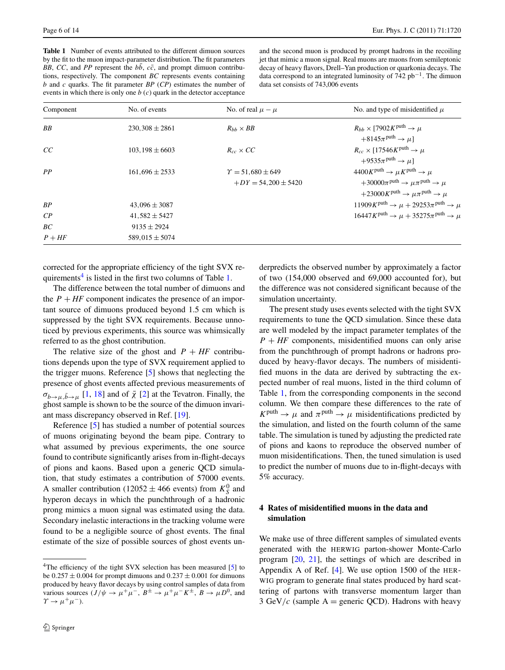<span id="page-7-2"></span>**Table 1** Number of events attributed to the different dimuon sources by the fit to the muon impact-parameter distribution. The fit parameters *BB*, *CC*, and *PP* represent the  $b\bar{b}$ ,  $c\bar{c}$ , and prompt dimuon contributions, respectively. The component *BC* represents events containing *b* and *c* quarks. The fit parameter *BP* (*CP*) estimates the number of events in which there is only one *b* (*c*) quark in the detector acceptance

and the second muon is produced by prompt hadrons in the recoiling jet that mimic a muon signal. Real muons are muons from semileptonic decay of heavy flavors, Drell–Yan production or quarkonia decays. The data correspond to an integrated luminosity of  $742$  pb<sup>-1</sup>. The dimuon data set consists of 743,006 events

| Component      | No. of events       | No. of real $\mu - \mu$                                | No. and type of misidentified $\mu$                                                                                                                                                                                                            |
|----------------|---------------------|--------------------------------------------------------|------------------------------------------------------------------------------------------------------------------------------------------------------------------------------------------------------------------------------------------------|
| BB             | $230,308 \pm 2861$  | $R_{hh} \times BB$                                     | $R_{bb} \times [7902K^{\text{puth}} \rightarrow \mu$<br>$+8145\pi^{\text{puth}} \rightarrow \mu$ ]                                                                                                                                             |
| CC             | $103, 198 \pm 6603$ | $R_{cc} \times CC$                                     | $R_{cc} \times [17546K^{\text{puth}} \rightarrow \mu$<br>$+9535\pi$ <sup>puth</sup> $\rightarrow \mu$ ]                                                                                                                                        |
| PP             | $161,696 \pm 2533$  | $\Upsilon = 51,680 \pm 649$<br>$+DY = 54.200 \pm 5420$ | $4400K^{\text{puth}} \rightarrow \mu K^{\text{puth}} \rightarrow \mu$<br>$+30000\pi$ <sup>puth</sup> $\rightarrow \mu\pi$ <sup>puth</sup> $\rightarrow \mu$<br>+23000K <sup>puth</sup> $\rightarrow \mu \pi$ <sup>puth</sup> $\rightarrow \mu$ |
| BP             | $43,096 \pm 3087$   |                                                        | $11909K^{\text{puth}} \rightarrow \mu + 29253\pi^{\text{puth}} \rightarrow \mu$                                                                                                                                                                |
| $\mathcal{C}P$ | $41,582 \pm 5427$   |                                                        | $16447K^{\text{puth}} \rightarrow \mu + 35275\pi^{\text{puth}} \rightarrow \mu$                                                                                                                                                                |
| BC             | $9135 \pm 2924$     |                                                        |                                                                                                                                                                                                                                                |
| $P + HF$       | $589,015 \pm 5074$  |                                                        |                                                                                                                                                                                                                                                |

corrected for the appropriate efficiency of the tight SVX requirements $4$  is listed in the first two columns of Table [1.](#page-7-2)

The difference between the total number of dimuons and the  $P + HF$  component indicates the presence of an important source of dimuons produced beyond 1.5 cm which is suppressed by the tight SVX requirements. Because unnoticed by previous experiments, this source was whimsically referred to as the ghost contribution.

The relative size of the ghost and  $P + HF$  contributions depends upon the type of SVX requirement applied to the trigger muons. Reference [[5\]](#page-15-3) shows that neglecting the presence of ghost events affected previous measurements of  $\sigma_{b\rightarrow\mu,\bar{b}\rightarrow\mu}$  [\[1](#page-15-0), [18\]](#page-15-9) and of  $\bar{\chi}$  [[2\]](#page-15-8) at the Tevatron. Finally, the ghost sample is shown to be the source of the dimuon invariant mass discrepancy observed in Ref. [\[19](#page-15-10)].

<span id="page-7-1"></span>Reference [\[5](#page-15-3)] has studied a number of potential sources of muons originating beyond the beam pipe. Contrary to what assumed by previous experiments, the one source found to contribute significantly arises from in-flight-decays of pions and kaons. Based upon a generic QCD simulation, that study estimates a contribution of 57000 events. A smaller contribution (12052  $\pm$  466 events) from  $K_S^0$  and hyperon decays in which the punchthrough of a hadronic prong mimics a muon signal was estimated using the data. Secondary inelastic interactions in the tracking volume were found to be a negligible source of ghost events. The final estimate of the size of possible sources of ghost events underpredicts the observed number by approximately a factor of two (154,000 observed and 69,000 accounted for), but the difference was not considered significant because of the simulation uncertainty.

The present study uses events selected with the tight SVX requirements to tune the QCD simulation. Since these data are well modeled by the impact parameter templates of the  $P + HF$  components, misidentified muons can only arise from the punchthrough of prompt hadrons or hadrons produced by heavy-flavor decays. The numbers of misidentified muons in the data are derived by subtracting the expected number of real muons, listed in the third column of Table [1,](#page-7-2) from the corresponding components in the second column. We then compare these differences to the rate of  $K^{\text{puth}} \to \mu$  and  $\pi^{\text{puth}} \to \mu$  misidentifications predicted by the simulation, and listed on the fourth column of the same table. The simulation is tuned by adjusting the predicted rate of pions and kaons to reproduce the observed number of muon misidentifications. Then, the tuned simulation is used to predict the number of muons due to in-flight-decays with 5% accuracy.

### <span id="page-7-0"></span>**4 Rates of misidentified muons in the data and simulation**

We make use of three different samples of simulated events generated with the HERWIG parton-shower Monte-Carlo program [\[20](#page-15-11), [21](#page-15-12)], the settings of which are described in Appendix A of Ref. [\[4\]](#page-15-2). We use option 1500 of the HER-WIG program to generate final states produced by hard scattering of partons with transverse momentum larger than 3 GeV/c (sample  $A =$  generic QCD). Hadrons with heavy

<sup>&</sup>lt;sup>4</sup>The efficiency of the tight SVX selection has been measured [\[5\]](#page-15-3) to be  $0.257 \pm 0.004$  for prompt dimuons and  $0.237 \pm 0.001$  for dimuons produced by heavy flavor decays by using control samples of data from various sources  $(J/\psi \to \mu^+\mu^-$ ,  $B^{\pm} \to \mu^+\mu^-K^{\pm}$ ,  $B \to \mu D^0$ , and  $\gamma \rightarrow \mu^+ \mu^-$ ).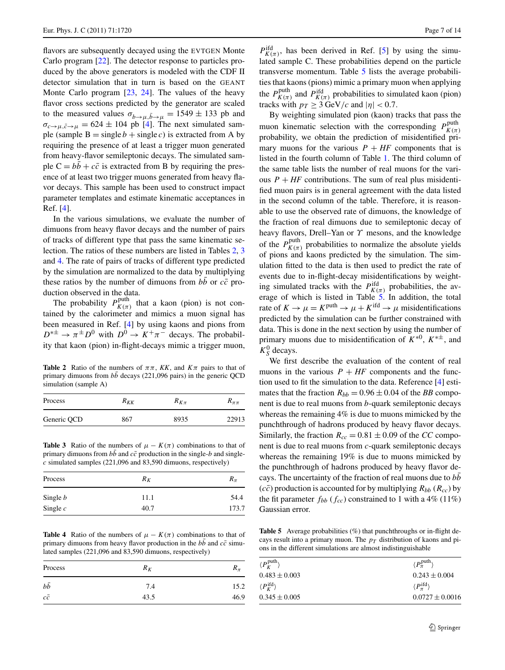flavors are subsequently decayed using the EVTGEN Monte Carlo program [[22\]](#page-15-13). The detector response to particles produced by the above generators is modeled with the CDF II detector simulation that in turn is based on the GEANT Monte Carlo program [\[23](#page-15-14), [24](#page-15-15)]. The values of the heavy flavor cross sections predicted by the generator are scaled to the measured values  $\sigma_{b\rightarrow\mu,\bar{b}\rightarrow\mu} = 1549 \pm 133$  pb and  $\sigma_{c\rightarrow\mu,\bar{c}\rightarrow\mu} = 624 \pm 104$  $\sigma_{c\rightarrow\mu,\bar{c}\rightarrow\mu} = 624 \pm 104$  $\sigma_{c\rightarrow\mu,\bar{c}\rightarrow\mu} = 624 \pm 104$  pb [4]. The next simulated sample (sample  $B = \text{single } b + \text{single } c$ ) is extracted from A by requiring the presence of at least a trigger muon generated from heavy-flavor semileptonic decays. The simulated sample  $C = bb + c\bar{c}$  is extracted from B by requiring the presence of at least two trigger muons generated from heavy flavor decays. This sample has been used to construct impact parameter templates and estimate kinematic acceptances in Ref. [[4](#page-15-2)].

In the various simulations, we evaluate the number of dimuons from heavy flavor decays and the number of pairs of tracks of different type that pass the same kinematic selection. The ratios of these numbers are listed in Tables [2,](#page-8-0) [3](#page-8-1) and [4.](#page-8-2) The rate of pairs of tracks of different type predicted by the simulation are normalized to the data by multiplying these ratios by the number of dimuons from *bb* or  $c\bar{c}$  production observed in the data.

<span id="page-8-0"></span>The probability  $P_{K(\pi)}^{\text{puth}}$  that a kaon (pion) is not contained by the calorimeter and mimics a muon signal has been measured in Ref. [[4\]](#page-15-2) by using kaons and pions from  $D^{*\pm} \rightarrow \pi^{\pm} D^{0}$  with  $D^{0} \rightarrow K^{+}\pi^{-}$  decays. The probability that kaon (pion) in-flight-decays mimic a trigger muon,

**Table 2** Ratio of the numbers of  $\pi \pi$ , KK, and  $K\pi$  pairs to that of primary dimuons from *bb* decays (221,096 pairs) in the generic QCD simulation (sample A)

<span id="page-8-1"></span>

| Process     | $R_{KK}$ | $R_{K\pi}$ | $R_{\pi\pi}$ |
|-------------|----------|------------|--------------|
| Generic QCD | 867      | 8935       | 22913        |

**Table 3** Ratio of the numbers of  $\mu - K(\pi)$  combinations to that of primary dimuons from  $b\bar{b}$  and  $c\bar{c}$  production in the single-*b* and single*c* simulated samples (221,096 and 83,590 dimuons, respectively)

<span id="page-8-2"></span>

| Process         | $R_K$ | $R_{\pi}$ |
|-----------------|-------|-----------|
| Single <i>b</i> | 11.1  | 54.4      |
| Single $c$      | 40.7  | 173.7     |

**Table 4** Ratio of the numbers of  $\mu - K(\pi)$  combinations to that of primary dimuons from heavy flavor production in the *bb* and  $c\bar{c}$  simulated samples (221,096 and 83,590 dimuons, respectively)

| Process    | $R_K$ | $\mathbf{r}_{\pi}$ |
|------------|-------|--------------------|
| $b\bar{b}$ | 7.4   | 15.2               |
| $c\bar{c}$ | 43.5  | 46.9               |

 $P_{K(\pi)}^{\text{ifd}}$ , has been derived in Ref. [\[5](#page-15-3)] by using the simulated sample C. These probabilities depend on the particle transverse momentum. Table [5](#page-8-3) lists the average probabilities that kaons (pions) mimic a primary muon when applying the  $P_{K(\pi)}^{\text{puth}}$  and  $P_{K(\pi)}^{\text{ifd}}$  probabilities to simulated kaon (pion) tracks with  $p_T \geq 3$  GeV/c and  $|\eta| < 0.7$ .

By weighting simulated pion (kaon) tracks that pass the muon kinematic selection with the corresponding  $P_{K(\pi)}^{\text{puth}}$ probability, we obtain the prediction of misidentified primary muons for the various  $P + HF$  components that is listed in the fourth column of Table [1](#page-7-2). The third column of the same table lists the number of real muons for the various  $P + HF$  contributions. The sum of real plus misidentified muon pairs is in general agreement with the data listed in the second column of the table. Therefore, it is reasonable to use the observed rate of dimuons, the knowledge of the fraction of real dimuons due to semileptonic decay of heavy flavors, Drell–Yan or *Υ* mesons, and the knowledge of the  $P_{K(\pi)}^{\text{puth}}$  probabilities to normalize the absolute yields of pions and kaons predicted by the simulation. The simulation fitted to the data is then used to predict the rate of events due to in-flight-decay misidentifications by weighting simulated tracks with the  $P_{K(\pi)}^{\text{ifd}}$  probabilities, the av-erage of which is listed in Table [5.](#page-8-3) In addition, the total rate of  $K \to \mu = K^{\text{puth}} \to \mu + K^{\text{ifd}} \to \mu$  misidentifications predicted by the simulation can be further constrained with data. This is done in the next section by using the number of primary muons due to misidentification of  $K^{*0}$ ,  $K^{*\pm}$ , and  $K_S^0$  decays.

We first describe the evaluation of the content of real muons in the various  $P + HF$  components and the function used to fit the simulation to the data. Reference [\[4](#page-15-2)] estimates that the fraction  $R_{bb} = 0.96 \pm 0.04$  of the *BB* component is due to real muons from *b*-quark semileptonic decays whereas the remaining 4% is due to muons mimicked by the punchthrough of hadrons produced by heavy flavor decays. Similarly, the fraction  $R_{cc} = 0.81 \pm 0.09$  of the *CC* component is due to real muons from *c*-quark semileptonic decays whereas the remaining 19% is due to muons mimicked by the punchthrough of hadrons produced by heavy flavor decays. The uncertainty of the fraction of real muons due to *bb*¯  $(c\bar{c})$  production is accounted for by multiplying  $R_{bb}(R_{cc})$  by the fit parameter  $f_{bb}$  ( $f_{cc}$ ) constrained to 1 with a 4% (11%) Gaussian error.

<span id="page-8-3"></span>**Table 5** Average probabilities (%) that punchthroughs or in-flight decays result into a primary muon. The  $p<sub>T</sub>$  distribution of kaons and pions in the different simulations are almost indistinguishable

| $\langle P_K^{\text{puth}} \rangle$ | $\langle P_{\pi}^{\text{puth}} \rangle$ |
|-------------------------------------|-----------------------------------------|
| $0.483 \pm 0.003$                   | $0.243 \pm 0.004$                       |
| $\langle P_K^{\text{ifd}} \rangle$  | $\langle P_{\tau}^{\text{ifd}} \rangle$ |
| $0.345 \pm 0.005$                   | $0.0727 \pm 0.0016$                     |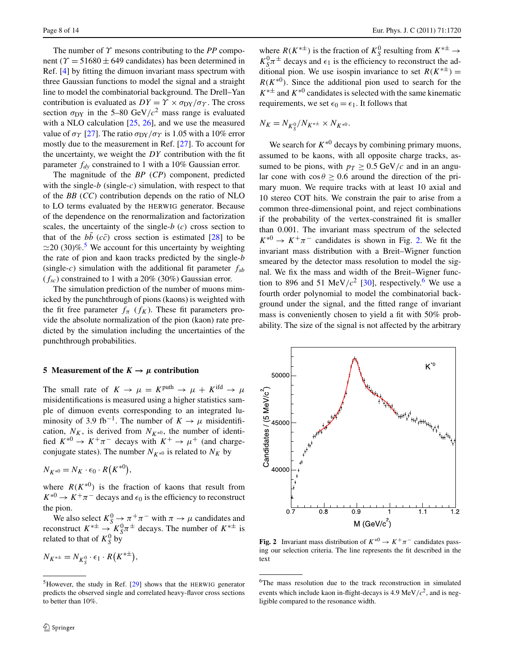The number of *Υ* mesons contributing to the *PP* component ( $\gamma$  = 51680  $\pm$  649 candidates) has been determined in Ref. [[4\]](#page-15-2) by fitting the dimuon invariant mass spectrum with three Gaussian functions to model the signal and a straight line to model the combinatorial background. The Drell–Yan contribution is evaluated as  $DY = \Upsilon \times \sigma_{DY}/\sigma_{\Upsilon}$ . The cross section  $\sigma_{DY}$  in the 5–80 GeV/ $c^2$  mass range is evaluated with a NLO calculation [[25,](#page-15-16) [26](#page-15-17)], and we use the measured value of  $\sigma_T$  [[27\]](#page-15-18). The ratio  $\sigma_{DY}/\sigma_T$  is 1.05 with a 10% error mostly due to the measurement in Ref. [\[27](#page-15-18)]. To account for the uncertainty, we weight the *DY* contribution with the fit parameter *fdy* constrained to 1 with a 10% Gaussian error.

The magnitude of the *BP* (*CP*) component, predicted with the single- $b$  (single- $c$ ) simulation, with respect to that of the *BB* (*CC*) contribution depends on the ratio of NLO to LO terms evaluated by the HERWIG generator. Because of the dependence on the renormalization and factorization scales, the uncertainty of the single-*b (c)* cross section to that of the  $b\bar{b}$  ( $c\bar{c}$ ) cross section is estimated [\[28](#page-15-19)] to be  $\approx$  20 (30)%.<sup>5</sup> We account for this uncertainty by weighting the rate of pion and kaon tracks predicted by the single-*b* (single-*c*) simulation with the additional fit parameter *fsb* (*fsc*) constrained to 1 with a 20% (30%) Gaussian error.

<span id="page-9-3"></span>The simulation prediction of the number of muons mimicked by the punchthrough of pions (kaons) is weighted with the fit free parameter  $f_\pi$  ( $f_K$ ). These fit parameters provide the absolute normalization of the pion (kaon) rate predicted by the simulation including the uncertainties of the punchthrough probabilities.

#### **5** Measurement of the  $K \rightarrow \mu$  contribution

The small rate of  $K \to \mu = K^{\text{puth}} \to \mu + K^{\text{ifd}} \to \mu$ misidentifications is measured using a higher statistics sample of dimuon events corresponding to an integrated luminosity of 3.9 fb<sup>-1</sup>. The number of  $K \to \mu$  misidentification,  $N_K$ , is derived from  $N_{K*0}$ , the number of identified  $K^{*0} \rightarrow K^+\pi^-$  decays with  $K^+ \rightarrow \mu^+$  (and chargeconjugate states). The number  $N_{K*0}$  is related to  $N_K$  by

$$
N_{K^{*0}} = N_K \cdot \epsilon_0 \cdot R(K^{*0})
$$

where  $R(K^*^{0})$  is the fraction of kaons that result from  $K^{*0} \rightarrow K^+\pi^-$  decays and  $\epsilon_0$  is the efficiency to reconstruct the pion.

<span id="page-9-1"></span>*,*

<span id="page-9-0"></span>We also select  $K_S^0 \to \pi^+\pi^-$  with  $\pi \to \mu$  candidates and reconstruct  $K^{*\pm} \rightarrow \tilde{K}_{S}^{0} \pi^{\pm}$  decays. The number of  $K^{*\pm}$  is related to that of  $K_S^0$  by

$$
N_{K^{*\pm}} = N_{K^0_S} \cdot \epsilon_1 \cdot R(K^{*\pm}),
$$

where  $R(K^{*\pm})$  is the fraction of  $K_S^0$  resulting from  $K^{*\pm} \rightarrow$  $K_S^0 \pi^{\pm}$  decays and  $\epsilon_1$  is the efficiency to reconstruct the additional pion. We use isospin invariance to set  $R(K^{*\pm})$  =  $R(K^*0)$ . Since the additional pion used to search for the  $K^{*\pm}$  and  $K^{*0}$  candidates is selected with the same kinematic requirements, we set  $\epsilon_0 = \epsilon_1$ . It follows that

$$
N_K = N_{K_S^0}/N_{K^{*\pm}} \times N_{K^{*0}}.
$$

We search for  $K^{*0}$  decays by combining primary muons, assumed to be kaons, with all opposite charge tracks, assumed to be pions, with  $p_T \geq 0.5$  GeV/c and in an angular cone with  $\cos \theta \ge 0.6$  around the direction of the primary muon. We require tracks with at least 10 axial and 10 stereo COT hits. We constrain the pair to arise from a common three-dimensional point, and reject combinations if the probability of the vertex-constrained fit is smaller than 0.001. The invariant mass spectrum of the selected  $K^{*0} \rightarrow K^+\pi^-$  candidates is shown in Fig. [2.](#page-9-1) We fit the invariant mass distribution with a Breit–Wigner function smeared by the detector mass resolution to model the signal. We fix the mass and width of the Breit–Wigner func-tion to 89[6](#page-9-2) and 51 MeV/ $c^2$  [[30\]](#page-15-21), respectively.<sup>6</sup> We use a fourth order polynomial to model the combinatorial background under the signal, and the fitted range of invariant mass is conveniently chosen to yield a fit with 50% probability. The size of the signal is not affected by the arbitrary



<span id="page-9-2"></span>**Fig. 2** Invariant mass distribution of  $K^{*0} \to K^+\pi^-$  candidates passing our selection criteria. The line represents the fit described in the text

 $5$ However, the study in Ref. [[29](#page-15-20)] shows that the HERWIG generator predicts the observed single and correlated heavy-flavor cross sections to better than 10%.

<sup>6</sup>The mass resolution due to the track reconstruction in simulated events which include kaon in-flight-decays is 4.9 MeV/ $c^2$ , and is negligible compared to the resonance width.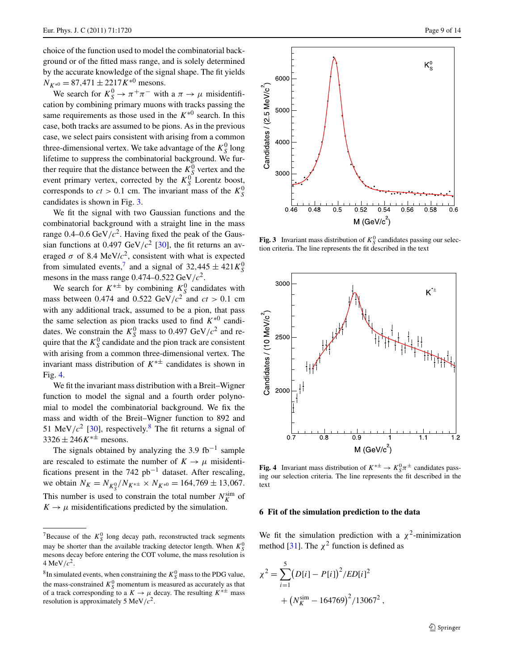choice of the function used to model the combinatorial background or of the fitted mass range, and is solely determined by the accurate knowledge of the signal shape. The fit yields  $N_{K*0} = 87,471 \pm 2217K^{*0}$  mesons.

We search for  $K_S^0 \to \pi^+\pi^-$  with a  $\pi \to \mu$  misidentification by combining primary muons with tracks passing the same requirements as those used in the  $K^{*0}$  search. In this case, both tracks are assumed to be pions. As in the previous case, we select pairs consistent with arising from a common three-dimensional vertex. We take advantage of the  $K_S^0$  long lifetime to suppress the combinatorial background. We further require that the distance between the  $K^0_S$  vertex and the event primary vertex, corrected by the  $K_S^0$  Lorentz boost, corresponds to  $ct > 0.1$  cm. The invariant mass of the  $K_S^0$ candidates is shown in Fig. [3](#page-10-1).

We fit the signal with two Gaussian functions and the combinatorial background with a straight line in the mass range  $0.4$ – $0.6$  GeV/ $c^2$ . Having fixed the peak of the Gaussian functions at 0.497 GeV/ $c^2$  [\[30](#page-15-21)], the fit returns an averaged  $\sigma$  of 8.4 MeV/ $c^2$ , consistent with what is expected from simulated events,<sup>7</sup> and a signal of  $32,445 \pm 421 K_S^0$ mesons in the mass range  $0.474 - 0.522 \text{ GeV}/c^2$ .

We search for  $K^{*\pm}$  by combining  $K_S^0$  candidates with mass between 0.474 and 0.522 GeV/ $c^2$  and  $ct > 0.1$  cm with any additional track, assumed to be a pion, that pass the same selection as pion tracks used to find  $K^{*0}$  candidates. We constrain the  $K_S^0$  mass to 0.497 GeV/ $c^2$  and require that the  $K_S^0$  candidate and the pion track are consistent with arising from a common three-dimensional vertex. The invariant mass distribution of *K*∗± candidates is shown in Fig. [4](#page-10-3).

We fit the invariant mass distribution with a Breit–Wigner function to model the signal and a fourth order polynomial to model the combinatorial background. We fix the mass and width of the Breit–Wigner function to 892 and 51 MeV/ $c^2$  [[30\]](#page-15-21), respectively.<sup>[8](#page-10-4)</sup> The fit returns a signal of  $3326 \pm 246K^{* \pm}$  mesons.

<span id="page-10-2"></span>The signals obtained by analyzing the 3.9 fb<sup>-1</sup> sample are rescaled to estimate the number of  $K \to \mu$  misidentifications present in the 742 pb−<sup>1</sup> dataset. After rescaling, we obtain  $N_K = N_{K_S^0}/N_{K^{*\pm}} \times N_{K^{*0}} = 164,769 \pm 13,067.$ This number is used to constrain the total number  $N_K^{\text{sim}}$  of  $K \rightarrow \mu$  misidentifications predicted by the simulation.



<span id="page-10-1"></span>**Fig. 3** Invariant mass distribution of  $K_S^0$  candidates passing our selection criteria. The line represents the fit described in the text



<span id="page-10-3"></span><span id="page-10-0"></span>**Fig. 4** Invariant mass distribution of  $K^{*\pm} \rightarrow K_S^0 \pi^{\pm}$  candidates passing our selection criteria. The line represents the fit described in the text

#### **6 Fit of the simulation prediction to the data**

We fit the simulation prediction with a  $\chi^2$ -minimization method [[31\]](#page-15-22). The  $\chi^2$  function is defined as

$$
\chi^{2} = \sum_{i=1}^{5} (D[i] - P[i])^{2} / ED[i]^{2}
$$

$$
+ (N_{K}^{\text{sim}} - 164769)^{2} / 13067^{2},
$$

<span id="page-10-4"></span><sup>&</sup>lt;sup>7</sup>Because of the  $K_S^0$  long decay path, reconstructed track segments may be shorter than the available tracking detector length. When  $K_S^0$ mesons decay before entering the COT volume, the mass resolution is 4 MeV/ $c^2$ .

 ${}^{8}$ In simulated events, when constraining the  $K_S^0$  mass to the PDG value, the mass-constrained  $K_S^0$  momentum is measured as accurately as that of a track corresponding to a  $K \to \mu$  decay. The resulting  $K^{*\pm}$  mass resolution is approximately 5 MeV*/c*2.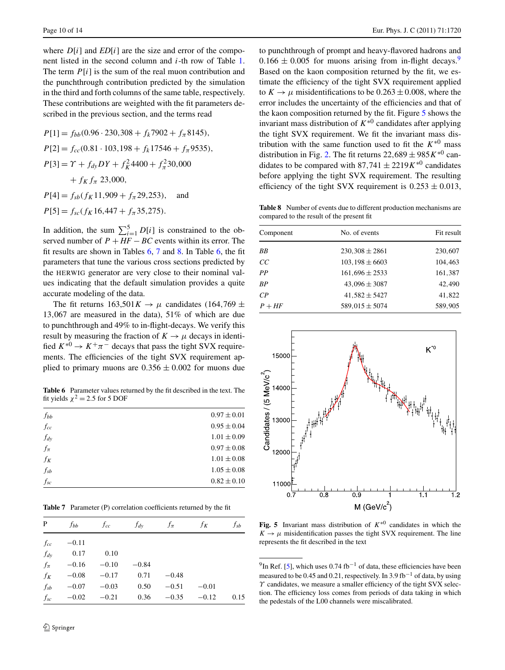where  $D[i]$  and  $ED[i]$  are the size and error of the component listed in the second column and *i*-th row of Table [1](#page-7-2). The term *P*[*i*] is the sum of the real muon contribution and the punchthrough contribution predicted by the simulation in the third and forth columns of the same table, respectively. These contributions are weighted with the fit parameters described in the previous section, and the terms read

 $P[1] = f_{bb}(0.96 \cdot 230,308 + f_k 7902 + f_\pi 8145),$  $P[2] = f_{cc}(0.81 \cdot 103, 198 + f_k 17546 + f_\pi 9535),$  $P[3] = \gamma + f_{dy}DY + f_{K}^{2}4400 + f_{\pi}^{2}30,000$  $+$  *f<sub>K</sub> f<sub>π</sub>* 23,000*,*  $P[4] = f_{sb}(f_K 11,909 + f_{\pi} 29,253)$ , and  $P[5] = f_{sc}(f_K 16, 447 + f_{\pi} 35, 275)$ .

In addition, the sum  $\sum_{i=1}^{5} D[i]$  is constrained to the observed number of  $P + HF - BC$  events within its error. The fit results are shown in Tables [6,](#page-11-0) [7](#page-11-1) and [8](#page-11-2). In Table [6](#page-11-0), the fit parameters that tune the various cross sections predicted by the HERWIG generator are very close to their nominal values indicating that the default simulation provides a quite accurate modeling of the data.

<span id="page-11-0"></span>The fit returns  $163,501K \rightarrow \mu$  candidates (164,769  $\pm$ 13*,*067 are measured in the data), 51% of which are due to punchthrough and 49% to in-flight-decays. We verify this result by measuring the fraction of  $K \to \mu$  decays in identified  $K^{*0} \rightarrow K^+\pi^-$  decays that pass the tight SVX requirements. The efficiencies of the tight SVX requirement applied to primary muons are  $0.356 \pm 0.002$  for muons due

**Table 6** Parameter values returned by the fit described in the text. The fit yields  $\chi^2 = 2.5$  for 5 DOF

<span id="page-11-1"></span>

| $f_{bb}$                     | $0.97 \pm 0.01$ |
|------------------------------|-----------------|
| $f_{cc}$                     | $0.95 \pm 0.04$ |
| $f_{dy}$                     | $1.01 \pm 0.09$ |
| $f_\pi$                      | $0.97 \pm 0.08$ |
| $f_K$                        | $1.01 \pm 0.08$ |
| $\mathfrak{f}_{\mathit{sb}}$ | $1.05 \pm 0.08$ |
| $f_{sc}$                     | $0.82 \pm 0.10$ |

**Table 7** Parameter (P) correlation coefficients returned by the fit

| P        | f <sub>bb</sub> | $f_{cc}$ | $f_{dy}$ | $f_{\pi}$ | $f_K$   | $f_{sb}$ |
|----------|-----------------|----------|----------|-----------|---------|----------|
| $f_{cc}$ | $-0.11$         |          |          |           |         |          |
| $f_{dy}$ | 0.17            | 0.10     |          |           |         |          |
| $f_\pi$  | $-0.16$         | $-0.10$  | $-0.84$  |           |         |          |
| $f_K$    | $-0.08$         | $-0.17$  | 0.71     | $-0.48$   |         |          |
| $f_{sb}$ | $-0.07$         | $-0.03$  | 0.50     | $-0.51$   | $-0.01$ |          |
| $f_{sc}$ | $-0.02$         | $-0.21$  | 0.36     | $-0.35$   | $-0.12$ | 0.15     |

to punchthrough of prompt and heavy-flavored hadrons and  $0.166 \pm 0.005$  for muons arising from in-flight decays.<sup>[9](#page-11-3)</sup> Based on the kaon composition returned by the fit, we estimate the efficiency of the tight SVX requirement applied to  $K \rightarrow \mu$  misidentifications to be 0.263  $\pm$  0.008, where the error includes the uncertainty of the efficiencies and that of the kaon composition returned by the fit. Figure [5](#page-11-4) shows the invariant mass distribution of  $K^{*0}$  candidates after applying the tight SVX requirement. We fit the invariant mass distribution with the same function used to fit the  $K^{*0}$  mass distribution in Fig. [2.](#page-9-1) The fit returns  $22,689 \pm 985K^{*0}$  candidates to be compared with 87,741  $\pm$  2219*K*<sup>∗0</sup> candidates before applying the tight SVX requirement. The resulting efficiency of the tight SVX requirement is  $0.253 \pm 0.013$ ,

<span id="page-11-2"></span>**Table 8** Number of events due to different production mechanisms are compared to the result of the present fit

| No. of events       | Fit result |  |
|---------------------|------------|--|
| $230,308 \pm 2861$  | 230,607    |  |
| $103, 198 \pm 6603$ | 104.463    |  |
| $161,696 \pm 2533$  | 161,387    |  |
| $43,096 \pm 3087$   | 42,490     |  |
| $41,582 \pm 5427$   | 41,822     |  |
| $589,015 \pm 5074$  | 589,905    |  |
|                     |            |  |



<span id="page-11-4"></span><span id="page-11-3"></span>**Fig. 5** Invariant mass distribution of  $K^*$ <sup>0</sup> candidates in which the  $K \rightarrow \mu$  misidentification passes the tight SVX requirement. The line represents the fit described in the text

<sup>9</sup>In Ref. [[5](#page-15-3)], which uses 0.74 fb<sup>-1</sup> of data, these efficiencies have been measured to be 0.45 and 0.21, respectively. In 3.9 fb<sup>-1</sup> of data, by using *Υ* candidates, we measure a smaller efficiency of the tight SVX selection. The efficiency loss comes from periods of data taking in which the pedestals of the L00 channels were miscalibrated.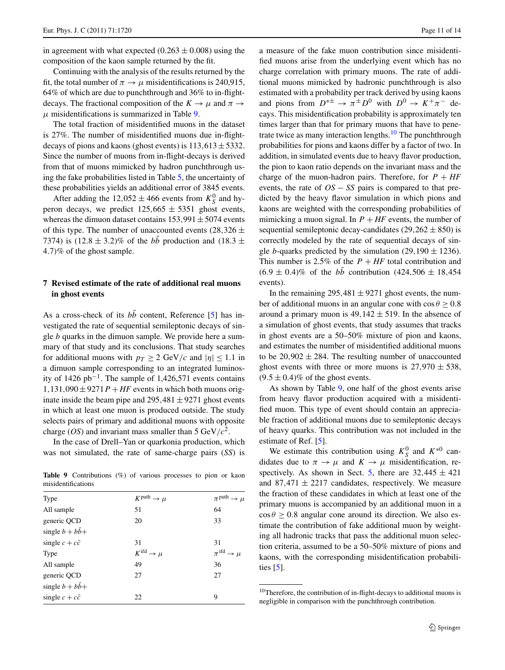in agreement with what expected  $(0.263 \pm 0.008)$  using the composition of the kaon sample returned by the fit.

Continuing with the analysis of the results returned by the fit, the total number of  $\pi \rightarrow \mu$  misidentifications is 240,915, 64% of which are due to punchthrough and 36% to in-flightdecays. The fractional composition of the  $K \to \mu$  and  $\pi \to$  $\mu$  misidentifications is summarized in Table [9.](#page-12-1)

The total fraction of misidentified muons in the dataset is 27%. The number of misidentified muons due in-flightdecays of pions and kaons (ghost events) is  $113,613 \pm 5332$ . Since the number of muons from in-flight-decays is derived from that of muons mimicked by hadron punchthrough using the fake probabilities listed in Table [5](#page-8-3), the uncertainty of these probabilities yields an additional error of 3845 events.

<span id="page-12-0"></span>After adding the  $12,052 \pm 466$  events from  $K_S^0$  and hyperon decays, we predict  $125,665 \pm 5351$  ghost events, whereas the dimuon dataset contains  $153,991 \pm 5074$  events of this type. The number of unaccounted events  $(28,326 \pm$ 7374) is  $(12.8 \pm 3.2)$ % of the *bb* production and  $(18.3 \pm 1.2)$ 4*.*7*)*% of the ghost sample.

#### **7 Revised estimate of the rate of additional real muons in ghost events**

As a cross-check of its  $b\bar{b}$  content, Reference [\[5](#page-15-3)] has investigated the rate of sequential semileptonic decays of single *b* quarks in the dimuon sample. We provide here a summary of that study and its conclusions. That study searches for additional muons with  $p_T \geq 2$  GeV/c and  $|\eta| \leq 1.1$  in a dimuon sample corresponding to an integrated luminosity of 1426 pb<sup>-1</sup>. The sample of 1,426,571 events contains  $1,131,090 \pm 9271P + HF$  events in which both muons originate inside the beam pipe and  $295,481 \pm 9271$  ghost events in which at least one muon is produced outside. The study selects pairs of primary and additional muons with opposite charge (*OS*) and invariant mass smaller than 5 GeV/ $c^2$ .

<span id="page-12-1"></span>In the case of Drell–Yan or quarkonia production, which was not simulated, the rate of same-charge pairs (*SS*) is

**Table 9** Contributions (%) of various processes to pion or kaon misidentifications

| Type                         | $K^{\text{puth}} \rightarrow \mu$ | $\pi$ <sup>puth</sup> $\rightarrow \mu$ |
|------------------------------|-----------------------------------|-----------------------------------------|
| All sample                   | 51                                | 64                                      |
| generic QCD                  | 20                                | 33                                      |
| single $b + b\overline{b} +$ |                                   |                                         |
| single $c + c\overline{c}$   | 31                                | 31                                      |
| Type                         | $K^{\text{ifd}} \rightarrow \mu$  | $\pi$ <sup>ifd</sup> $\rightarrow \mu$  |
| All sample                   | 49                                | 36                                      |
| generic QCD                  | 27                                | 27                                      |
| single $b + b\overline{b} +$ |                                   |                                         |
| single $c + c\overline{c}$   | 22                                | 9                                       |

a measure of the fake muon contribution since misidentified muons arise from the underlying event which has no charge correlation with primary muons. The rate of additional muons mimicked by hadronic punchthrough is also estimated with a probability per track derived by using kaons and pions from  $D^{* \pm} \rightarrow \pi^{\pm} D^{0}$  with  $D^{0} \rightarrow K^{+} \pi^{-}$  decays. This misidentification probability is approximately ten times larger than that for primary muons that have to pene-trate twice as many interaction lengths.<sup>[10](#page-12-2)</sup> The punchthrough probabilities for pions and kaons differ by a factor of two. In addition, in simulated events due to heavy flavor production, the pion to kaon ratio depends on the invariant mass and the charge of the muon-hadron pairs. Therefore, for  $P + HF$ events, the rate of *OS* − *SS* pairs is compared to that predicted by the heavy flavor simulation in which pions and kaons are weighted with the corresponding probabilities of mimicking a muon signal. In  $P + HF$  events, the number of sequential semileptonic decay-candidates  $(29,262 \pm 850)$  is correctly modeled by the rate of sequential decays of single *b*-quarks predicted by the simulation (29,190  $\pm$  1236). This number is 2.5% of the  $P + HF$  total contribution and  $(6.9 \pm 0.4)\%$  of the  $b\bar{b}$  contribution  $(424,506 \pm 18,454)$ events).

In the remaining  $295,481 \pm 9271$  ghost events, the number of additional muons in an angular cone with  $\cos \theta \ge 0.8$ around a primary muon is  $49,142 \pm 519$ . In the absence of a simulation of ghost events, that study assumes that tracks in ghost events are a 50–50% mixture of pion and kaons, and estimates the number of misidentified additional muons to be  $20,902 \pm 284$ . The resulting number of unaccounted ghost events with three or more muons is  $27,970 \pm 538$ ,  $(9.5 \pm 0.4)$ % of the ghost events.

As shown by Table [9,](#page-12-1) one half of the ghost events arise from heavy flavor production acquired with a misidentified muon. This type of event should contain an appreciable fraction of additional muons due to semileptonic decays of heavy quarks. This contribution was not included in the estimate of Ref. [\[5](#page-15-3)].

<span id="page-12-2"></span>We estimate this contribution using  $K_S^0$  and  $K^{*0}$  candidates due to  $\pi \rightarrow \mu$  and  $K \rightarrow \mu$  misidentification, re-spectively. As shown in Sect. [5](#page-9-3), there are  $32,445 \pm 421$ and  $87,471 \pm 2217$  candidates, respectively. We measure the fraction of these candidates in which at least one of the primary muons is accompanied by an additional muon in a  $\cos \theta \ge 0.8$  angular cone around its direction. We also estimate the contribution of fake additional muon by weighting all hadronic tracks that pass the additional muon selection criteria, assumed to be a 50–50% mixture of pions and kaons, with the corresponding misidentification probabilities [[5](#page-15-3)].

<sup>&</sup>lt;sup>10</sup>Therefore, the contribution of in-flight-decays to additional muons is negligible in comparison with the punchthrough contribution.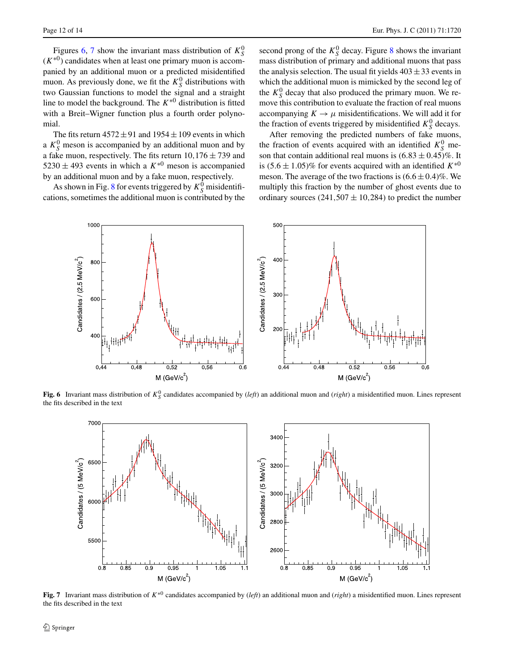Figures [6,](#page-13-0) [7](#page-13-1) show the invariant mass distribution of  $K_S^0$  $(K^{*0})$  candidates when at least one primary muon is accompanied by an additional muon or a predicted misidentified muon. As previously done, we fit the  $K_S^0$  distributions with two Gaussian functions to model the signal and a straight line to model the background. The *K*∗<sup>0</sup> distribution is fitted with a Breit–Wigner function plus a fourth order polynomial.

The fits return  $4572 \pm 91$  and  $1954 \pm 109$  events in which a  $K_S^0$  meson is accompanied by an additional muon and by a fake muon, respectively. The fits return  $10,176 \pm 739$  and 5230  $\pm$  493 events in which a  $K^{*0}$  meson is accompanied by an additional muon and by a fake muon, respectively.

As shown in Fig. [8](#page-14-1) for events triggered by  $K_S^0$  misidentifications, sometimes the additional muon is contributed by the

second prong of the  $K_S^0$  decay. Figure [8](#page-14-1) shows the invariant mass distribution of primary and additional muons that pass the analysis selection. The usual fit yields  $403 \pm 33$  events in which the additional muon is mimicked by the second leg of the  $K_S^0$  decay that also produced the primary muon. We remove this contribution to evaluate the fraction of real muons accompanying  $K \to \mu$  misidentifications. We will add it for the fraction of events triggered by misidentified  $K_S^0$  decays.

After removing the predicted numbers of fake muons, the fraction of events acquired with an identified  $K_S^0$  meson that contain additional real muons is  $(6.83 \pm 0.45)\%$ . It is  $(5.6 \pm 1.05)$ % for events acquired with an identified  $K^{*0}$ meson. The average of the two fractions is  $(6.6 \pm 0.4)\%$ . We multiply this fraction by the number of ghost events due to ordinary sources  $(241,507 \pm 10,284)$  to predict the number



<span id="page-13-0"></span>**Fig. 6** Invariant mass distribution of  $K_S^0$  candidates accompanied by  $(\text{left})$  an additional muon and  $(\text{right})$  a misidentified muon. Lines represent the fits described in the text



<span id="page-13-1"></span>**Fig. 7** Invariant mass distribution of *K*∗<sup>0</sup> candidates accompanied by (*left*) an additional muon and (*right*) a misidentified muon. Lines represent the fits described in the text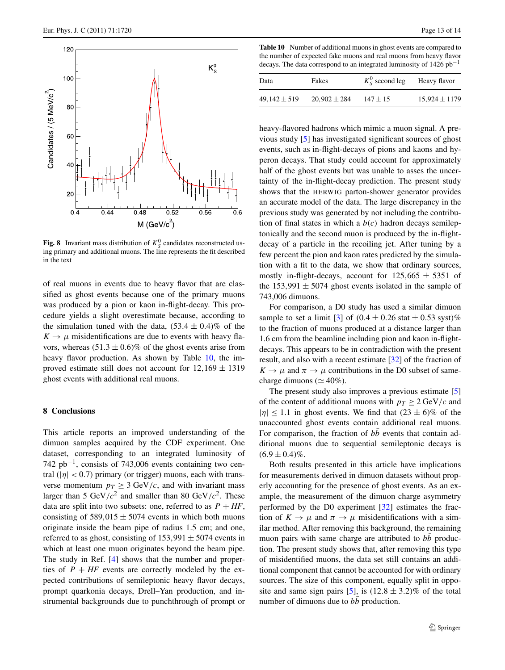

<span id="page-14-1"></span>**Fig. 8** Invariant mass distribution of  $K_S^0$  candidates reconstructed using primary and additional muons. The line represents the fit described in the text

<span id="page-14-0"></span>of real muons in events due to heavy flavor that are classified as ghost events because one of the primary muons was produced by a pion or kaon in-flight-decay. This procedure yields a slight overestimate because, according to the simulation tuned with the data,  $(53.4 \pm 0.4)\%$  of the  $K \rightarrow \mu$  misidentifications are due to events with heavy flavors, whereas  $(51.3 \pm 0.6)$ % of the ghost events arise from heavy flavor production. As shown by Table [10,](#page-14-2) the improved estimate still does not account for  $12,169 \pm 1319$ ghost events with additional real muons.

# **8 Conclusions**

This article reports an improved understanding of the dimuon samples acquired by the CDF experiment. One dataset, corresponding to an integrated luminosity of  $742$  pb<sup>-1</sup>, consists of 743,006 events containing two central  $(|\eta| < 0.7)$  primary (or trigger) muons, each with transverse momentum  $p_T \geq 3$  GeV/c, and with invariant mass larger than 5 GeV/ $c^2$  and smaller than 80 GeV/ $c^2$ . These data are split into two subsets: one, referred to as  $P + HF$ , consisting of  $589,015 \pm 5074$  events in which both muons originate inside the beam pipe of radius 1.5 cm; and one, referred to as ghost, consisting of  $153,991 \pm 5074$  events in which at least one muon originates beyond the beam pipe. The study in Ref. [\[4](#page-15-2)] shows that the number and properties of  $P + HF$  events are correctly modeled by the expected contributions of semileptonic heavy flavor decays, prompt quarkonia decays, Drell–Yan production, and instrumental backgrounds due to punchthrough of prompt or

<span id="page-14-2"></span>**Table 10** Number of additional muons in ghost events are compared to the number of expected fake muons and real muons from heavy flavor decays. The data correspond to an integrated luminosity of  $1426$  pb<sup>-1</sup>

| Data             | Fakes            | $K_S^0$ second leg | Heavy flavor      |
|------------------|------------------|--------------------|-------------------|
| $49,142 \pm 519$ | $20,902 \pm 284$ | $147 \pm 15$       | $15,924 \pm 1179$ |

heavy-flavored hadrons which mimic a muon signal. A previous study [[5\]](#page-15-3) has investigated significant sources of ghost events, such as in-flight-decays of pions and kaons and hyperon decays. That study could account for approximately half of the ghost events but was unable to asses the uncertainty of the in-flight-decay prediction. The present study shows that the HERWIG parton-shower generator provides an accurate model of the data. The large discrepancy in the previous study was generated by not including the contribution of final states in which a *b(c)* hadron decays semileptonically and the second muon is produced by the in-flightdecay of a particle in the recoiling jet. After tuning by a few percent the pion and kaon rates predicted by the simulation with a fit to the data, we show that ordinary sources, mostly in-flight-decays, account for  $125,665 \pm 5351$  of the  $153,991 \pm 5074$  ghost events isolated in the sample of 743,006 dimuons.

For comparison, a D0 study has used a similar dimuon sample to set a limit [[3\]](#page-15-1) of  $(0.4 \pm 0.26 \text{ stat} \pm 0.53 \text{ syst})$ % to the fraction of muons produced at a distance larger than 1.6 cm from the beamline including pion and kaon in-flightdecays. This appears to be in contradiction with the present result, and also with a recent estimate [\[32](#page-15-23)] of the fraction of  $K \to \mu$  and  $\pi \to \mu$  contributions in the D0 subset of samecharge dimuons ( $\simeq$  40%).

The present study also improves a previous estimate [[5\]](#page-15-3) of the content of additional muons with  $p_T \geq 2 \text{ GeV}/c$  and  $|\eta|$  < 1.1 in ghost events. We find that  $(23 \pm 6)\%$  of the unaccounted ghost events contain additional real muons. For comparison, the fraction of  $b\bar{b}$  events that contain additional muons due to sequential semileptonic decays is  $(6.9 \pm 0.4)\%$ .

Both results presented in this article have implications for measurements derived in dimuon datasets without properly accounting for the presence of ghost events. As an example, the measurement of the dimuon charge asymmetry performed by the D0 experiment [\[32](#page-15-23)] estimates the fraction of  $K \to \mu$  and  $\pi \to \mu$  misidentifications with a similar method. After removing this background, the remaining muon pairs with same charge are attributed to *bb* production. The present study shows that, after removing this type of misidentified muons, the data set still contains an additional component that cannot be accounted for with ordinary sources. The size of this component, equally split in oppo-site and same sign pairs [[5\]](#page-15-3), is  $(12.8 \pm 3.2)\%$  of the total number of dimuons due to  $b\bar{b}$  production.